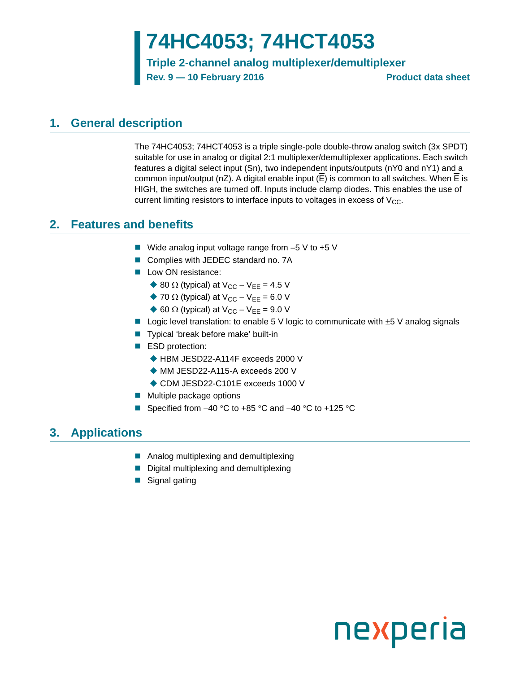# **74HC4053; 74HCT4053**

**Triple 2-channel analog multiplexer/demultiplexer**

**Rev. 9 — 10 February 2016 Product data sheet**

### <span id="page-0-0"></span>**1. General description**

The 74HC4053; 74HCT4053 is a triple single-pole double-throw analog switch (3x SPDT) suitable for use in analog or digital 2:1 multiplexer/demultiplexer applications. Each switch features a digital select input (Sn), two independent inputs/outputs (nY0 and nY1) and a common input/output (nZ). A digital enable input (E) is common to all switches. When E is HIGH, the switches are turned off. Inputs include clamp diodes. This enables the use of current limiting resistors to interface inputs to voltages in excess of  $V_{CC}$ .

### <span id="page-0-1"></span>**2. Features and benefits**

- Wide analog input voltage range from  $-5$  V to  $+5$  V
- Complies with JEDEC standard no. 7A
- **Low ON resistance:** 
	- ♦ 80  $\Omega$  (typical) at  $V_{CC} V_{EE} = 4.5$  V
	- $\blacktriangleright$  70  $\Omega$  (typical) at V<sub>CC</sub> V<sub>EE</sub> = 6.0 V
	- $\triangle$  60 Ω (typical) at V<sub>CC</sub> V<sub>EE</sub> = 9.0 V
- Logic level translation: to enable 5 V logic to communicate with  $\pm$  5 V analog signals
- Typical 'break before make' built-in
- ESD protection:
	- ◆ HBM JESD22-A114F exceeds 2000 V
	- ◆ MM JESD22-A115-A exceeds 200 V
	- ◆ CDM JESD22-C101E exceeds 1000 V
- **Multiple package options**
- Specified from  $-40$  °C to  $+85$  °C and  $-40$  °C to  $+125$  °C

### <span id="page-0-2"></span>**3. Applications**

- **Analog multiplexing and demultiplexing**
- Digital multiplexing and demultiplexing
- Signal gating

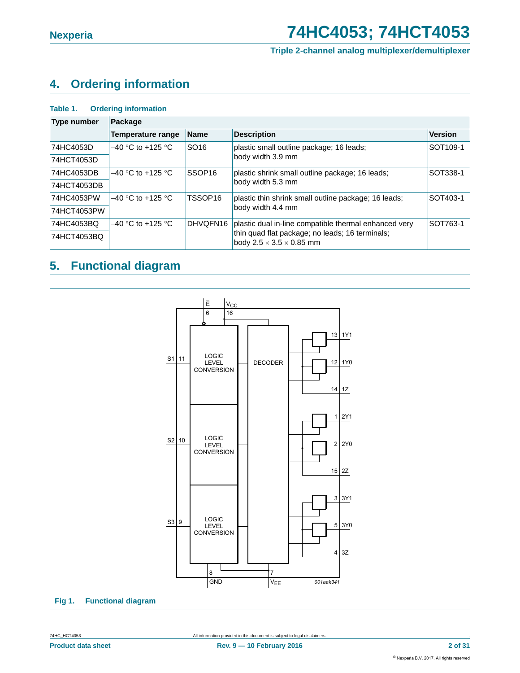#### **Triple 2-channel analog multiplexer/demultiplexer**

### <span id="page-1-0"></span>**4. Ordering information**

#### **Table 1. Ordering information**

| <b>Type number</b> | Package              |                     |                                                                                         |                      |
|--------------------|----------------------|---------------------|-----------------------------------------------------------------------------------------|----------------------|
|                    | Temperature range    | <b>Name</b>         | <b>Description</b>                                                                      | <b>Version</b>       |
| 74HC4053D          | $-40$ °C to +125 °C  | SO <sub>16</sub>    | plastic small outline package; 16 leads;                                                | SOT <sub>109-1</sub> |
| 74HCT4053D         |                      |                     | body width 3.9 mm                                                                       |                      |
| 74HC4053DB         | $-40$ °C to +125 °C  | SSOP <sub>16</sub>  | plastic shrink small outline package; 16 leads;                                         | SOT338-1             |
| 74HCT4053DB        |                      |                     | body width 5.3 mm                                                                       |                      |
| 74HC4053PW         | $-40$ °C to +125 °C. | TSSOP <sub>16</sub> | plastic thin shrink small outline package; 16 leads;                                    | SOT403-1             |
| 74HCT4053PW        |                      |                     | body width 4.4 mm                                                                       |                      |
| 74HC4053BQ         | $-40$ °C to +125 °C  | DHVQFN16            | plastic dual in-line compatible thermal enhanced very                                   | SOT763-1             |
| 74HCT4053BQ        |                      |                     | thin quad flat package; no leads; 16 terminals;<br>body $2.5 \times 3.5 \times 0.85$ mm |                      |

### <span id="page-1-1"></span>**5. Functional diagram**

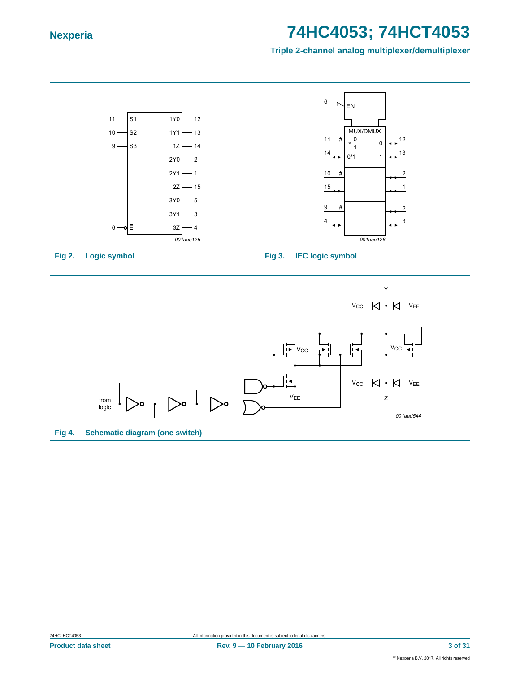

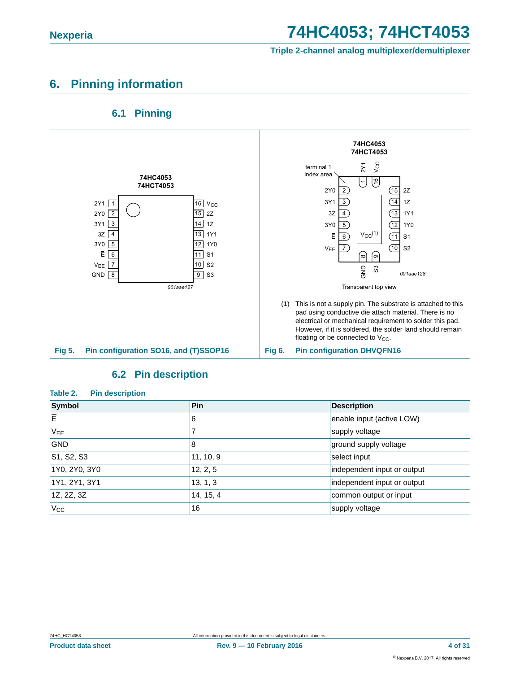#### **Triple 2-channel analog multiplexer/demultiplexer**

### <span id="page-3-0"></span>**6. Pinning information**

#### **6.1 Pinning**

<span id="page-3-1"></span>

#### **6.2 Pin description**

#### <span id="page-3-2"></span>**Table 2. Pin description**

| Symbol                                           | <b>Pin</b> | <b>Description</b>          |
|--------------------------------------------------|------------|-----------------------------|
| ΙĒ                                               | 6          | enable input (active LOW)   |
| $V_{EE}$                                         |            | supply voltage              |
| <b>GND</b>                                       | 8          | ground supply voltage       |
| S <sub>1</sub> , S <sub>2</sub> , S <sub>3</sub> | 11, 10, 9  | select input                |
| 1Y0, 2Y0, 3Y0                                    | 12, 2, 5   | independent input or output |
| 1Y1, 2Y1, 3Y1                                    | 13, 1, 3   | independent input or output |
| 1Z, 2Z, 3Z                                       | 14, 15, 4  | common output or input      |
| $V_{\rm CC}$                                     | 16         | supply voltage              |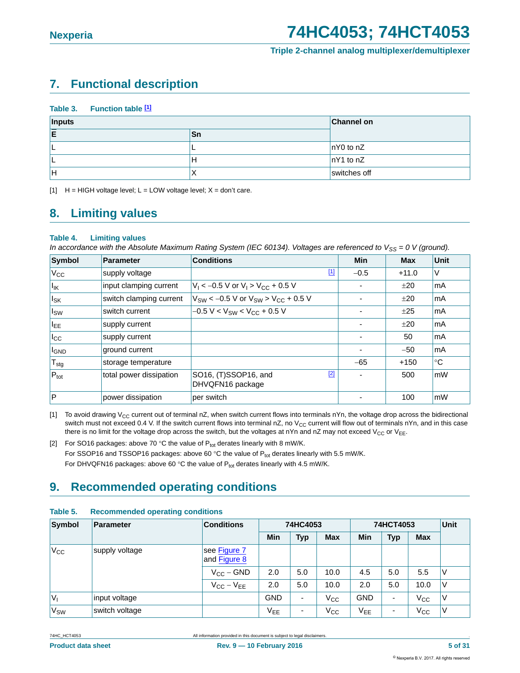#### **Triple 2-channel analog multiplexer/demultiplexer**

### <span id="page-4-3"></span>**7. Functional description**

| Table 3. | <b>Function table [1]</b> |  |
|----------|---------------------------|--|
|          |                           |  |

| Inputs | <b>Channel on</b> |                     |
|--------|-------------------|---------------------|
| Ē      | Sn                |                     |
|        |                   | $\ln Y0$ to nZ      |
|        | н                 | $\vert nY1$ to $nZ$ |
| lн     |                   | switches off        |

<span id="page-4-0"></span>[1]  $H = HIGH$  voltage level;  $L = LOW$  voltage level;  $X = don't$  care.

### <span id="page-4-4"></span>**8. Limiting values**

#### **Table 4. Limiting values**

*In accordance with the Absolute Maximum Rating System (IEC 60134). Voltages are referenced to V<sub>SS</sub> = 0 V (ground).* 

| Symbol           | <b>Parameter</b>        | <b>Conditions</b>                                 | Min    | <b>Max</b> | <b>Unit</b> |
|------------------|-------------------------|---------------------------------------------------|--------|------------|-------------|
| $V_{\rm CC}$     | supply voltage          | <u>[1]</u>                                        | $-0.5$ | $+11.0$    | V           |
| $I_{IK}$         | input clamping current  | $V_1 < -0.5$ V or $V_1 > V_{CC} + 0.5$ V          |        | ±20        | <b>mA</b>   |
| $I_{SK}$         | switch clamping current | $V_{SW}$ < -0.5 V or $V_{SW}$ > $V_{CC}$ + 0.5 V  |        | ±20        | <b>mA</b>   |
| $I_{SW}$         | switch current          | $-0.5 V < V_{SW} < V_{CC} + 0.5 V$                |        | ±25        | mA          |
| <b>LEE</b>       | supply current          |                                                   |        | ±20        | <b>mA</b>   |
| $I_{\rm CC}$     | supply current          |                                                   |        | 50         | lmA         |
| <b>I</b> GND     | ground current          |                                                   |        | $-50$      | <b>mA</b>   |
| $T_{\text{stg}}$ | storage temperature     |                                                   | $-65$  | $+150$     | $^{\circ}C$ |
| $P_{\text{tot}}$ | total power dissipation | $[2]$<br>SO16, (T)SSOP16, and<br>DHVQFN16 package |        | 500        | mW          |
| $\overline{P}$   | power dissipation       | per switch                                        |        | 100        | mW          |

<span id="page-4-1"></span>[1] To avoid drawing V<sub>CC</sub> current out of terminal nZ, when switch current flows into terminals nYn, the voltage drop across the bidirectional switch must not exceed 0.4 V. If the switch current flows into terminal  $nZ$ , no  $V_{CC}$  current will flow out of terminals nYn, and in this case there is no limit for the voltage drop across the switch, but the voltages at nYn and nZ may not exceed  $V_{CC}$  or  $V_{EE}$ .

<span id="page-4-2"></span>[2] For SO16 packages: above 70 °C the value of  $P_{tot}$  derates linearly with 8 mW/K. For SSOP16 and TSSOP16 packages: above 60 °C the value of  $P_{\text{tot}}$  derates linearly with 5.5 mW/K. For DHVQFN16 packages: above 60 °C the value of  $P_{tot}$  derates linearly with 4.5 mW/K.

### <span id="page-4-5"></span>**9. Recommended operating conditions**

| Symbol                         | Parameter                    | <b>Conditions</b> |            | 74HC4053                 |              |                 | 74HCT4053                |              |        |
|--------------------------------|------------------------------|-------------------|------------|--------------------------|--------------|-----------------|--------------------------|--------------|--------|
|                                |                              |                   | <b>Min</b> | <b>Typ</b>               | <b>Max</b>   | Min             | <b>Typ</b>               | <b>Max</b>   |        |
| $V_{\rm CC}$<br>supply voltage | see Figure 7<br>and Figure 8 |                   |            |                          |              |                 |                          |              |        |
|                                |                              | $V_{CC}$ – GND    | 2.0        | 5.0                      | 10.0         | 4.5             | 5.0                      | 5.5          | ٧      |
|                                |                              | $V_{CC} - V_{EE}$ | 2.0        | 5.0                      | 10.0         | 2.0             | 5.0                      | 10.0         | $\vee$ |
| V <sub>1</sub>                 | input voltage                |                   | <b>GND</b> | $\overline{\phantom{0}}$ | $V_{CC}$     | <b>GND</b>      | $\blacksquare$           | $V_{\rm CC}$ | V      |
| V <sub>SW</sub>                | switch voltage               |                   | $V_{EE}$   | ۰                        | $V_{\rm CC}$ | V <sub>EE</sub> | $\overline{\phantom{0}}$ | $V_{\rm CC}$ | ٧      |

#### **Table 5. Recommended operating conditions**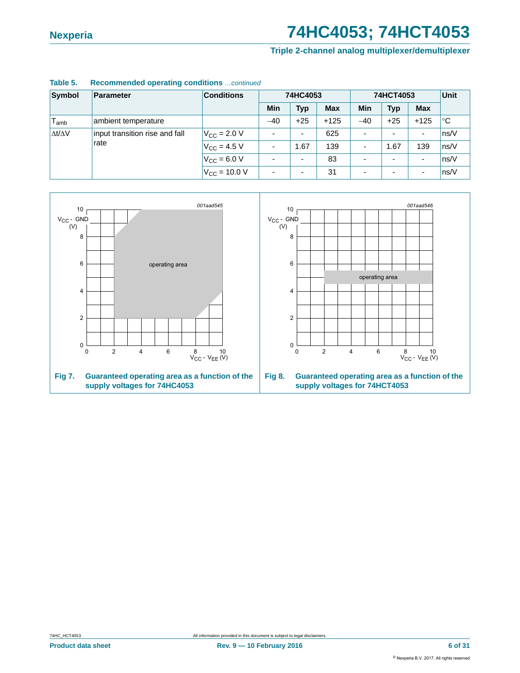**Triple 2-channel analog multiplexer/demultiplexer**

| Symbol              | Parameter                      | <b>Conditions</b>        |            | 74HC4053       |            | 74HCT4053  |                          |                          | Unit |
|---------------------|--------------------------------|--------------------------|------------|----------------|------------|------------|--------------------------|--------------------------|------|
|                     |                                |                          | <b>Min</b> | <b>Typ</b>     | <b>Max</b> | <b>Min</b> | <b>Typ</b>               | <b>Max</b>               |      |
| $T_{amb}$           | ambient temperature            |                          | $-40$      | $+25$          | $+125$     | $-40$      | $+25$                    | $+125$                   | ∣°C  |
| $\Delta t/\Delta V$ | input transition rise and fall | $V_{\rm CC}$ = 2.0 V     |            | $\blacksquare$ | 625        |            | $\overline{a}$           | $\overline{\phantom{a}}$ | ns/V |
|                     | rate                           | $V_{\text{CC}} = 4.5 V$  |            | 1.67           | 139        |            | 1.67                     | 139                      | ns/V |
|                     |                                | $V_{\rm CC} = 6.0 V$     |            |                | 83         |            | $\overline{\phantom{0}}$ | $\overline{\phantom{a}}$ | ns/V |
|                     |                                | $V_{\text{CC}} = 10.0 V$ |            |                | 31         |            | $\overline{\phantom{0}}$ | $\overline{\phantom{a}}$ | ns/V |

#### **Table 5. Recommended operating conditions** *…continued*

<span id="page-5-1"></span><span id="page-5-0"></span>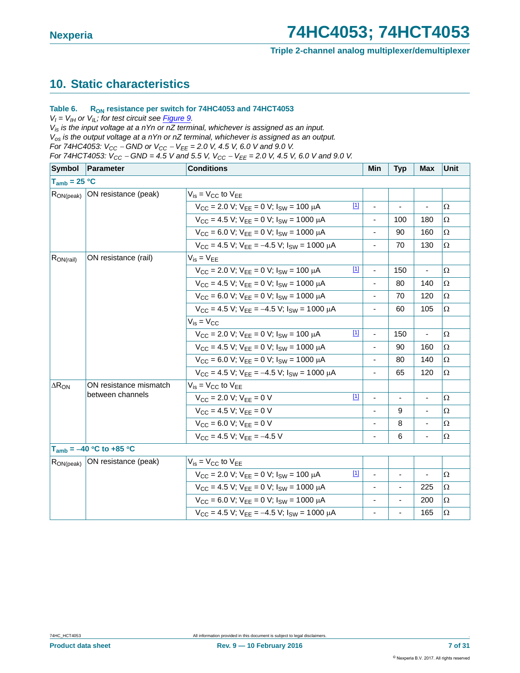#### **Triple 2-channel analog multiplexer/demultiplexer**

### <span id="page-6-0"></span>**10. Static characteristics**

#### Table 6. R<sub>ON</sub> resistance per switch for 74HC4053 and 74HCT4053

 $V_I = V_{I H}$  or  $V_{I L}$ ; for test circuit see *[Figure 9.](#page-8-0)* 

*Vis is the input voltage at a nYn or nZ terminal, whichever is assigned as an input. Vos is the output voltage at a nYn or nZ terminal, whichever is assigned as an output. For 74HC4053: VCC GND or VCC VEE = 2.0 V, 4.5 V, 6.0 V and 9.0 V. For 74HCT4053:*  $V_{CC}$  *– GND = 4.5 V and 5.5 V,*  $V_{CC}$  *–*  $V_{EE}$  *= 2.0 V, 4.5 V, 6.0 V and 9.0 V.* 

| Symbol            | <b>Parameter</b>             | <b>Conditions</b>                                            |       | Min                      | <b>Typ</b>     | <b>Max</b>     | <b>Unit</b> |
|-------------------|------------------------------|--------------------------------------------------------------|-------|--------------------------|----------------|----------------|-------------|
| $T_{amb} = 25 °C$ |                              |                                                              |       |                          |                |                |             |
| $R_{ON(peak)}$    | ON resistance (peak)         | $V_{is} = V_{CC}$ to $V_{FF}$                                |       |                          |                |                |             |
|                   |                              | $V_{CC}$ = 2.0 V; $V_{EE}$ = 0 V; $I_{SW}$ = 100 $\mu$ A     | $[1]$ |                          |                |                | $\Omega$    |
|                   |                              | $V_{CC}$ = 4.5 V; $V_{FF}$ = 0 V; $I_{SW}$ = 1000 $\mu$ A    |       |                          | 100            | 180            | Ω           |
|                   |                              | $V_{CC}$ = 6.0 V; $V_{EE}$ = 0 V; $I_{SW}$ = 1000 $\mu$ A    |       |                          | 90             | 160            | Ω           |
|                   |                              | $V_{CC}$ = 4.5 V; $V_{FF}$ = -4.5 V; $I_{SW}$ = 1000 $\mu$ A |       |                          | 70             | 130            | Ω           |
| $R_{ON(rail)}$    | ON resistance (rail)         | $V_{is} = V_{EE}$                                            |       |                          |                |                |             |
|                   |                              | $V_{CC}$ = 2.0 V; $V_{FF}$ = 0 V; $I_{SW}$ = 100 $\mu$ A     | $[1]$ | $\overline{\phantom{a}}$ | 150            | $\blacksquare$ | Ω           |
|                   |                              | $V_{CC}$ = 4.5 V; $V_{EE}$ = 0 V; $I_{SW}$ = 1000 $\mu$ A    |       |                          | 80             | 140            | Ω           |
|                   |                              | $V_{CC}$ = 6.0 V; $V_{FF}$ = 0 V; $I_{SW}$ = 1000 $\mu$ A    |       |                          | 70             | 120            | Ω           |
|                   |                              | $V_{CC}$ = 4.5 V; $V_{FF}$ = -4.5 V; $I_{SW}$ = 1000 $\mu$ A |       | $\blacksquare$           | 60             | 105            | Ω           |
|                   |                              | $V_{is} = V_{CC}$                                            |       |                          |                |                |             |
|                   |                              | $V_{CC}$ = 2.0 V; $V_{FF}$ = 0 V; $I_{SW}$ = 100 $\mu$ A     | $[1]$ | $\blacksquare$           | 150            |                | Ω           |
|                   |                              | $V_{CC}$ = 4.5 V; $V_{EE}$ = 0 V; $I_{SW}$ = 1000 $\mu$ A    |       | $\overline{\phantom{a}}$ | 90             | 160            | Ω           |
|                   |                              | $V_{CC}$ = 6.0 V; $V_{EE}$ = 0 V; $I_{SW}$ = 1000 $\mu$ A    |       |                          | 80             | 140            | Ω           |
|                   |                              | $V_{CC}$ = 4.5 V; $V_{EE}$ = -4.5 V; $I_{SW}$ = 1000 $\mu$ A |       |                          | 65             | 120            | Ω           |
| $\Delta R_{ON}$   | ON resistance mismatch       | $V_{is} = V_{CC}$ to $V_{EE}$                                |       |                          |                |                |             |
|                   | between channels             | $V_{\text{CC}} = 2.0 \text{ V}; V_{\text{EE}} = 0 \text{ V}$ | $[1]$ |                          | $\blacksquare$ |                | Ω           |
|                   |                              | $V_{CC} = 4.5 V: V_{EF} = 0 V$                               |       |                          | 9              |                | $\Omega$    |
|                   |                              | $V_{CC} = 6.0 V; V_{EE} = 0 V$                               |       |                          | 8              |                | $\Omega$    |
|                   |                              | $V_{CC}$ = 4.5 V; $V_{FF}$ = -4.5 V                          |       |                          | 6              |                | $\Omega$    |
|                   | $T_{amb} = -40 °C$ to +85 °C |                                                              |       |                          |                |                |             |
| $R_{ON (peak)}$   | ON resistance (peak)         | $V_{is} = V_{CC}$ to $V_{EE}$                                |       |                          |                |                |             |
|                   |                              | $V_{CC}$ = 2.0 V; $V_{FF}$ = 0 V; $I_{SW}$ = 100 $\mu$ A     | $[1]$ | $\blacksquare$           |                |                | $\Omega$    |
|                   |                              | $V_{CC}$ = 4.5 V; $V_{EE}$ = 0 V; $I_{SW}$ = 1000 $\mu$ A    |       |                          |                | 225            | Ω           |
|                   |                              | $V_{CC}$ = 6.0 V; $V_{FF}$ = 0 V; $I_{SW}$ = 1000 $\mu$ A    |       |                          |                | 200            | Ω           |
|                   |                              | $V_{CC}$ = 4.5 V; $V_{FF}$ = -4.5 V; $I_{SW}$ = 1000 $\mu$ A |       | $\overline{\phantom{a}}$ |                | 165            | $\Omega$    |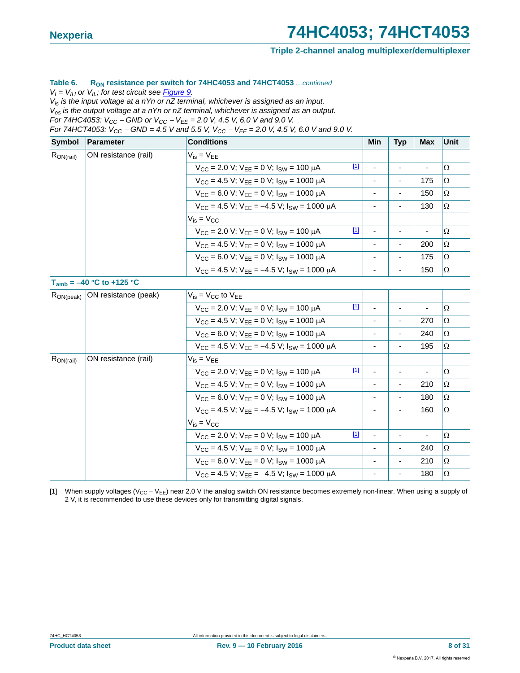#### **Triple 2-channel analog multiplexer/demultiplexer**

#### Table 6. R<sub>ON</sub> resistance per switch for 74HC4053 and 74HCT4053 *...continued*

 $V_I = V_{II}$  or  $V_{II}$ ; for test circuit see *Figure 9*.

*Vis is the input voltage at a nYn or nZ terminal, whichever is assigned as an input. Vos is the output voltage at a nYn or nZ terminal, whichever is assigned as an output.*

*For 74HC4053:*  $V_{CC}$  – GND or  $V_{CC}$  –  $V_{EE}$  = 2.0 V, 4.5 V, 6.0 V and 9.0 V.

*For 74HCT4053: V<sub>CC</sub> – GND = 4.5 V and 5.5 V, V<sub>CC</sub> – V<sub>EE</sub> = 2.0 V, 4.5 V, 6.0 V and 9.0 V.* 

| Symbol         | Parameter                     | <b>Conditions</b>                                            |             | Min                      | <b>Typ</b>                   | <b>Max</b> | <b>Unit</b> |
|----------------|-------------------------------|--------------------------------------------------------------|-------------|--------------------------|------------------------------|------------|-------------|
| $R_{ON(rail)}$ | ON resistance (rail)          | $V_{is} = V_{EE}$                                            |             |                          |                              |            |             |
|                |                               | $V_{CC}$ = 2.0 V; $V_{FF}$ = 0 V; $I_{SW}$ = 100 $\mu$ A     | $[1]$       | $\blacksquare$           |                              |            | Ω           |
|                |                               | $V_{CC}$ = 4.5 V; $V_{EE}$ = 0 V; $I_{SW}$ = 1000 $\mu$ A    |             | -                        | $\qquad \qquad \blacksquare$ | 175        | Ω           |
|                |                               | $V_{CC}$ = 6.0 V; $V_{FF}$ = 0 V; $I_{SW}$ = 1000 $\mu$ A    |             | $\overline{\phantom{a}}$ | $\qquad \qquad \blacksquare$ | 150        | Ω           |
|                |                               | $V_{CC}$ = 4.5 V; $V_{EE}$ = -4.5 V; $I_{SW}$ = 1000 $\mu$ A |             |                          |                              | 130        | Ω           |
|                |                               | $V_{is} = V_{CC}$                                            |             |                          |                              |            |             |
|                |                               | $V_{CC}$ = 2.0 V; $V_{EE}$ = 0 V; $I_{SW}$ = 100 $\mu$ A     | $[1]$       | ٠                        |                              |            | Ω           |
|                |                               | $V_{CC}$ = 4.5 V; $V_{EE}$ = 0 V; $I_{SW}$ = 1000 $\mu$ A    |             |                          |                              | 200        | Ω           |
|                |                               | $V_{CC}$ = 6.0 V; $V_{EE}$ = 0 V; $I_{SW}$ = 1000 $\mu$ A    |             |                          |                              | 175        | $\Omega$    |
|                |                               | $V_{CC}$ = 4.5 V; $V_{EE}$ = -4.5 V; $I_{SW}$ = 1000 $\mu$ A |             |                          |                              | 150        | Ω           |
|                | $T_{amb} = -40 °C$ to +125 °C |                                                              |             |                          |                              |            |             |
| $R_{ON(peak)}$ | ON resistance (peak)          | $V_{is} = V_{CC}$ to $V_{EE}$                                |             |                          |                              |            |             |
|                |                               | $V_{CC}$ = 2.0 V; $V_{EE}$ = 0 V; $I_{SW}$ = 100 $\mu$ A     | $[1]$       |                          |                              |            | Ω           |
|                |                               | $V_{CC}$ = 4.5 V; $V_{EE}$ = 0 V; $I_{SW}$ = 1000 $\mu$ A    |             |                          |                              | 270        | Ω           |
|                |                               | $V_{CC}$ = 6.0 V; $V_{EE}$ = 0 V; $I_{SW}$ = 1000 $\mu$ A    |             |                          |                              | 240        | Ω           |
|                |                               | $V_{CC}$ = 4.5 V; $V_{FF}$ = -4.5 V; $I_{SW}$ = 1000 $\mu$ A |             |                          |                              | 195        | Ω           |
| $R_{ON(rail)}$ | ON resistance (rail)          | $V_{is} = V_{EE}$                                            |             |                          |                              |            |             |
|                |                               | $V_{CC}$ = 2.0 V; $V_{FF}$ = 0 V; $I_{SW}$ = 100 $\mu$ A     | $[1]$       |                          |                              |            | Ω           |
|                |                               | $V_{CC}$ = 4.5 V; $V_{EE}$ = 0 V; $I_{SW}$ = 1000 $\mu$ A    |             |                          |                              | 210        | Ω           |
|                |                               | $V_{CC}$ = 6.0 V; $V_{FF}$ = 0 V; $I_{SW}$ = 1000 $\mu$ A    |             |                          |                              | 180        | Ω           |
|                |                               | $V_{CC}$ = 4.5 V; $V_{EE}$ = -4.5 V; $I_{SW}$ = 1000 $\mu$ A |             |                          |                              | 160        | Ω           |
|                |                               | $V_{is} = V_{CC}$                                            |             |                          |                              |            |             |
|                |                               | $V_{CC}$ = 2.0 V; $V_{EE}$ = 0 V; $I_{SW}$ = 100 $\mu$ A     | $\boxed{1}$ |                          |                              |            | Ω           |
|                |                               | $V_{CC}$ = 4.5 V; $V_{EE}$ = 0 V; $I_{SW}$ = 1000 $\mu$ A    |             |                          |                              | 240        | Ω           |
|                |                               | $V_{CC}$ = 6.0 V; $V_{EE}$ = 0 V; $I_{SW}$ = 1000 $\mu$ A    |             |                          |                              | 210        | Ω           |
|                |                               | $V_{CC}$ = 4.5 V; $V_{EE}$ = -4.5 V; $I_{SW}$ = 1000 $\mu$ A |             |                          |                              | 180        | $\Omega$    |

<span id="page-7-0"></span>[1] When supply voltages ( $V_{CC} - V_{EE}$ ) near 2.0 V the analog switch ON resistance becomes extremely non-linear. When using a supply of 2 V, it is recommended to use these devices only for transmitting digital signals.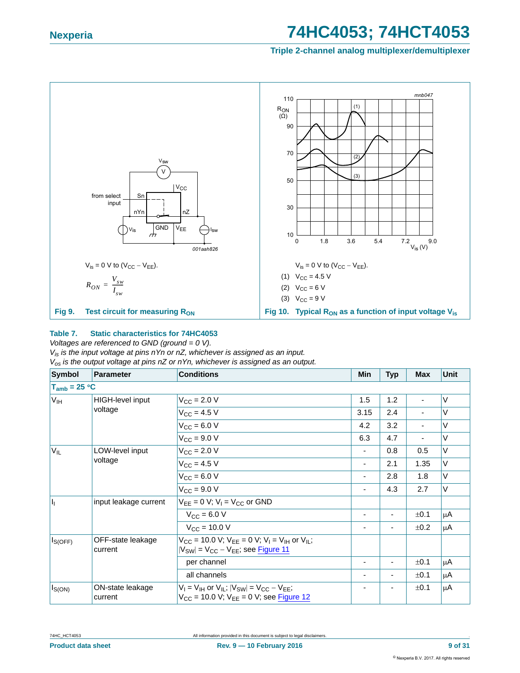**Triple 2-channel analog multiplexer/demultiplexer**



#### <span id="page-8-0"></span>**Table 7. Static characteristics for 74HC4053**

*Voltages are referenced to GND (ground = 0 V).*

*Vis is the input voltage at pins nYn or nZ, whichever is assigned as an input. Vos is the output voltage at pins nZ or nYn, whichever is assigned as an output.*

| Symbol            | <b>Parameter</b>             | <b>Conditions</b>                                                                                                                 | Min  | <b>Typ</b> | <b>Max</b>               | <b>Unit</b> |
|-------------------|------------------------------|-----------------------------------------------------------------------------------------------------------------------------------|------|------------|--------------------------|-------------|
|                   |                              |                                                                                                                                   |      |            |                          |             |
| V <sub>IH</sub>   | HIGH-level input             | $V_{\text{CC}} = 2.0 V$                                                                                                           | 1.5  | 1.2        | $\overline{\phantom{a}}$ | V           |
|                   | voltage                      | $V_{CC} = 4.5 V$                                                                                                                  | 3.15 | 2.4        |                          | $\vee$      |
|                   |                              | $V_{CC} = 6.0 V$                                                                                                                  | 4.2  | 3.2        | ۰                        | $\vee$      |
| $T_{amb}$ = 25 °C |                              | $V_{CC}$ = 9.0 V                                                                                                                  | 6.3  | 4.7        | ۰                        | $\vee$      |
| $V_{IL}$          | LOW-level input              | $V_{\text{CC}} = 2.0 V$                                                                                                           | ۰    | 0.8        | 0.5                      | V           |
|                   | voltage                      | $V_{CC} = 4.5 V$                                                                                                                  | ۰    | 2.1        | 1.35                     | V           |
|                   |                              | $V_{CC} = 6.0 V$                                                                                                                  | -    | 2.8        | 1.8                      | $\vee$      |
|                   |                              | $V_{CC}$ = 9.0 V                                                                                                                  | ۰    | 4.3        | 2.7                      | V           |
| h                 | input leakage current        | $V_{EE} = 0$ V; $V_1 = V_{CC}$ or GND                                                                                             |      |            |                          |             |
|                   |                              | $V_{CC} = 6.0 V$                                                                                                                  |      | ٠          | ±0.1                     | $\mu$ A     |
| $I_{S(OFF)}$      |                              | $V_{\rm CC}$ = 10.0 V                                                                                                             |      |            | ±0.2                     | μA          |
|                   | OFF-state leakage<br>current | $V_{CC}$ = 10.0 V; $V_{FF}$ = 0 V; $V_{I}$ = V <sub>IH</sub> or V <sub>II</sub> ;<br>$ V_{SW}  = V_{CC} - V_{EE}$ ; see Figure 11 |      |            |                          |             |
|                   |                              | per channel                                                                                                                       |      |            | ±0.1                     | μA          |
|                   |                              | all channels                                                                                                                      |      |            | ±0.1                     | μA          |
| $I_{S(ON)}$       | ON-state leakage<br>current  | $V_1$ = $V_{IH}$ or $V_{II}$ ; $ V_{SW} $ = $V_{CC}$ – $V_{FF}$ ;<br>$V_{CC}$ = 10.0 V; $V_{EE}$ = 0 V; see Figure 12             |      |            | ±0.1                     | μA          |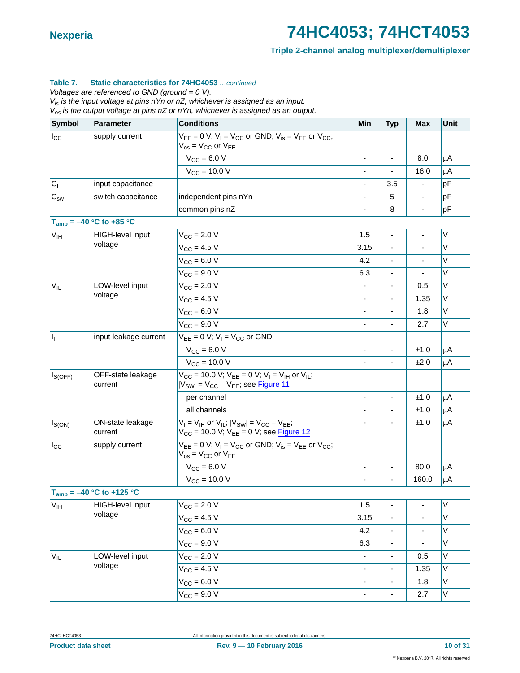**Triple 2-channel analog multiplexer/demultiplexer**

#### **Table 7. Static characteristics for 74HC4053** *…continued*

*Voltages are referenced to GND (ground = 0 V).*

*Vis is the input voltage at pins nYn or nZ, whichever is assigned as an input.*

*Vos is the output voltage at pins nZ or nYn, whichever is assigned as an output.*

| <b>Symbol</b>       | <b>Parameter</b>              | <b>Conditions</b>                                                                                                             | Min                      | <b>Typ</b>               | Max                          | Unit    |
|---------------------|-------------------------------|-------------------------------------------------------------------------------------------------------------------------------|--------------------------|--------------------------|------------------------------|---------|
| $I_{\rm CC}$        | supply current                | $V_{EE} = 0$ V; $V_1 = V_{CC}$ or GND; $V_{is} = V_{EE}$ or $V_{CC}$ ;<br>$V_{OS}$ = $V_{CC}$ or $V_{EE}$                     |                          |                          |                              |         |
|                     |                               | $V_{CC} = 6.0 V$                                                                                                              |                          |                          | 8.0                          | μA      |
|                     |                               | $V_{CC} = 10.0 V$                                                                                                             | ٠                        | $\blacksquare$           | 16.0                         | μA      |
| C <sub>1</sub>      | input capacitance             |                                                                                                                               |                          | 3.5                      |                              | pF      |
| $C_{sw}$            | switch capacitance            | independent pins nYn                                                                                                          | -                        | 5                        | $\overline{\phantom{0}}$     | pF      |
|                     |                               | common pins nZ                                                                                                                |                          | 8                        |                              | pF      |
|                     | $T_{amb} = -40 °C$ to +85 °C  |                                                                                                                               |                          |                          |                              |         |
| V <sub>IH</sub>     | HIGH-level input              | $V_{CC}$ = 2.0 V                                                                                                              | 1.5                      | ä,                       |                              | V       |
|                     | voltage                       | $V_{CC} = 4.5 V$                                                                                                              | 3.15                     | $\blacksquare$           |                              | V       |
|                     |                               | $V_{CC} = 6.0 V$                                                                                                              | 4.2                      |                          |                              | V       |
|                     |                               | $V_{CC}$ = 9.0 V                                                                                                              | 6.3                      | $\blacksquare$           | $\blacksquare$               | V       |
| $V_{IL}$            | LOW-level input               | $V_{CC}$ = 2.0 V                                                                                                              |                          |                          | 0.5                          | V       |
|                     | voltage                       | $V_{CC} = 4.5 V$                                                                                                              | -                        | $\overline{\phantom{a}}$ | 1.35                         | V       |
|                     |                               | $V_{CC} = 6.0 V$                                                                                                              |                          |                          | 1.8                          | V       |
|                     |                               | $V_{CC}$ = 9.0 V                                                                                                              | $\frac{1}{2}$            | $\blacksquare$           | 2.7                          | V       |
| H,                  | input leakage current         | $V_{EE} = 0$ V; $V_1 = V_{CC}$ or GND                                                                                         |                          |                          |                              |         |
|                     |                               | $V_{CC} = 6.0 V$                                                                                                              | $\blacksquare$           | $\blacksquare$           | ±1.0                         | μA      |
|                     |                               | $V_{\text{CC}} = 10.0 V$                                                                                                      |                          |                          | ±2.0                         | μA      |
| I <sub>S(OFF)</sub> | OFF-state leakage<br>current  | $V_{CC}$ = 10.0 V; $V_{EE}$ = 0 V; $V_I$ = $V_{IH}$ or $V_{IL}$ ;<br>$ V_{SW} $ = $V_{CC}$ – $V_{EE}$ ; see Figure 11         |                          |                          |                              |         |
|                     |                               | per channel                                                                                                                   |                          |                          | ±1.0                         | μA      |
|                     |                               | all channels                                                                                                                  |                          |                          | ±1.0                         | μA      |
| $I_{S(ON)}$         | ON-state leakage<br>current   | $V_I = V_{IH}$ or $V_{IL}$ ; $ V_{SW}  = V_{CC} - V_{EE}$ ;<br>V <sub>CC</sub> = 10.0 V; V <sub>EE</sub> = 0 V; see Figure 12 |                          |                          | ±1.0                         | μA      |
| $I_{\rm CC}$        | supply current                | $V_{EE} = 0 V$ ; $V_1 = V_{CC}$ or GND; $V_{is} = V_{EE}$ or $V_{CC}$ ;<br>$V_{OS}$ = $V_{CC}$ or $V_{EE}$                    |                          |                          |                              |         |
|                     |                               | $V_{CC}$ = 6.0 V                                                                                                              | $\overline{\phantom{a}}$ | $\blacksquare$           | 80.0                         | μA      |
|                     |                               | $V_{CC}$ = 10.0 V                                                                                                             |                          |                          | 160.0                        | μA      |
|                     | $T_{amb} = -40 °C$ to +125 °C |                                                                                                                               |                          |                          |                              |         |
| $V_{\text{IH}}$     | HIGH-level input              | $V_{\text{CC}} = 2.0 V$                                                                                                       | 1.5                      | ä,                       |                              | $\sf V$ |
|                     | voltage                       | $V_{CC} = 4.5 V$                                                                                                              | 3.15                     | ÷,                       |                              | V       |
|                     |                               | $V_{CC} = 6.0 V$                                                                                                              | 4.2                      |                          |                              | V       |
|                     |                               | $V_{\text{CC}} = 9.0 V$                                                                                                       | 6.3                      | $\blacksquare$           | $\qquad \qquad \blacksquare$ | V       |
| $V_{IL}$            | LOW-level input               | $V_{\text{CC}} = 2.0 V$                                                                                                       |                          |                          | 0.5                          | V       |
|                     | voltage                       | $V_{\text{CC}} = 4.5 V$                                                                                                       | -                        | $\overline{\phantom{a}}$ | 1.35                         | V       |
|                     |                               | $V_{CC} = 6.0 V$                                                                                                              |                          |                          | 1.8                          | V       |
|                     |                               | $V_{CC} = 9.0 V$                                                                                                              | $\overline{\phantom{0}}$ | $\blacksquare$           | 2.7                          | V       |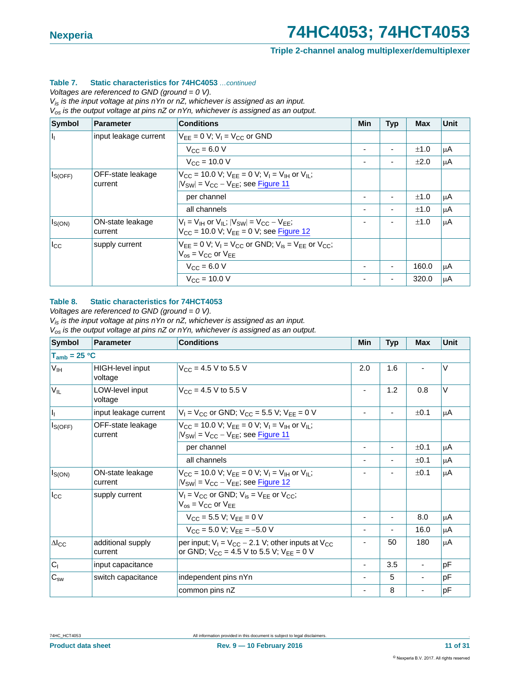**Triple 2-channel analog multiplexer/demultiplexer**

#### **Table 7. Static characteristics for 74HC4053** *…continued*

*Voltages are referenced to GND (ground = 0 V).*

*Vis is the input voltage at pins nYn or nZ, whichever is assigned as an input.*

*Vos is the output voltage at pins nZ or nYn, whichever is assigned as an output.*

| Symbol         | Parameter                    | <b>Conditions</b>                                                                                                   | Min | <b>Typ</b> | <b>Max</b> | <b>Unit</b> |
|----------------|------------------------------|---------------------------------------------------------------------------------------------------------------------|-----|------------|------------|-------------|
| Ħг             | input leakage current        | $V_{FF} = 0$ V; $V_1 = V_{CC}$ or GND                                                                               |     |            |            |             |
|                |                              | $V_{\text{CC}} = 6.0 V$                                                                                             |     |            | ±1.0       | μA          |
|                |                              | $V_{C}$ = 10.0 V                                                                                                    |     |            | ±2.0       | ι μA        |
| $ I_{S(OFF)} $ | OFF-state leakage<br>current | $V_{CC}$ = 10.0 V; $V_{FF}$ = 0 V; $V_{I}$ = $V_{IH}$ or $V_{II}$ ;<br>$ V_{SW}  = V_{CC} - V_{EE}$ ; see Figure 11 |     |            |            |             |
|                |                              | per channel                                                                                                         |     |            | ±1.0       | μA          |
|                |                              | all channels                                                                                                        |     |            | ±1.0       | μA          |
| $I_{S(ON)}$    | ON-state leakage<br>current  | $V_1 = V_{1H}$ or $V_{11}$ ; $ V_{SW}  = V_{CC} - V_{FF}$ ;<br>$V_{CC}$ = 10.0 V; $V_{EE}$ = 0 V; see Figure 12     |     |            | ±1.0       | μA          |
| $I_{\rm CC}$   | supply current               | $V_{FF} = 0$ V; $V_1 = V_{CC}$ or GND; $V_{is} = V_{FF}$ or $V_{CC}$ ;<br>$V_{OS}$ = $V_{CC}$ or $V_{EE}$           |     |            |            |             |
|                |                              | $V_{\rm CC} = 6.0 V$                                                                                                |     |            | 160.0      | μA          |
|                |                              | $V_{CC} = 10.0 V$                                                                                                   |     |            | 320.0      | μA          |

#### **Table 8. Static characteristics for 74HCT4053**

*Voltages are referenced to GND (ground = 0 V).*

*Vis is the input voltage at pins nYn or nZ, whichever is assigned as an input.*

*Vos is the output voltage at pins nZ or nYn, whichever is assigned as an output.*

| <b>Symbol</b>                   | Parameter                          | <b>Conditions</b>                                                                                                                     | Min                      | <b>Typ</b> | <b>Max</b> | Unit   |
|---------------------------------|------------------------------------|---------------------------------------------------------------------------------------------------------------------------------------|--------------------------|------------|------------|--------|
| $T_{amb}$ = 25 °C               |                                    |                                                                                                                                       |                          |            |            |        |
| V <sub>IH</sub>                 | <b>HIGH-level input</b><br>voltage | $V_{CC}$ = 4.5 V to 5.5 V                                                                                                             | 2.0                      | 1.6        |            | $\vee$ |
| $V_{IL}$                        | LOW-level input<br>voltage         | $V_{CC}$ = 4.5 V to 5.5 V                                                                                                             |                          | 1.2        | 0.8        | V      |
| $\vert \mathbf{l}_{\mathrm{L}}$ | input leakage current              | $V_1$ = V <sub>CC</sub> or GND; V <sub>CC</sub> = 5.5 V; V <sub>EE</sub> = 0 V                                                        |                          |            | ±0.1       | μA     |
| $I_{S(OFF)}$                    | OFF-state leakage<br>current       | $V_{CC}$ = 10.0 V; $V_{EE}$ = 0 V; $V_{I}$ = V <sub>IH</sub> or V <sub>IL</sub> ;<br>$ V_{SW} $ = $V_{CC}$ – $V_{EE}$ ; see Figure 11 |                          |            |            |        |
|                                 |                                    | per channel                                                                                                                           |                          |            | ±0.1       | 'nμA   |
|                                 |                                    | all channels                                                                                                                          |                          |            | ±0.1       | μA     |
| $I_{S(ON)}$                     | ON-state leakage<br>current        | $V_{CC}$ = 10.0 V; $V_{FF}$ = 0 V; $V_{I}$ = V <sub>IH</sub> or V <sub>II</sub> ;<br>$ V_{SW} $ = $V_{CC}$ – $V_{EE}$ ; see Figure 12 |                          |            | ±0.1       | μA     |
| $I_{\rm CC}$                    | supply current                     | $V_1 = V_{CC}$ or GND; $V_{is} = V_{FF}$ or $V_{CC}$ ;<br>$V_{OS}$ = $V_{CC}$ or $V_{EE}$                                             |                          |            |            |        |
|                                 |                                    | $V_{CC}$ = 5.5 V; $V_{FF}$ = 0 V                                                                                                      |                          | ٠          | 8.0        | μA     |
|                                 |                                    | $V_{CC}$ = 5.0 V; $V_{FF}$ = -5.0 V                                                                                                   | ۰                        |            | 16.0       | μA     |
| $\Delta I_{\text{CC}}$          | additional supply<br>current       | per input; $V_1 = V_{CC} - 2.1$ V; other inputs at $V_{CC}$<br>or GND; $V_{CC}$ = 4.5 V to 5.5 V; $V_{EE}$ = 0 V                      | -                        | 50         | 180        | μA     |
| C <sub>1</sub>                  | input capacitance                  |                                                                                                                                       | $\overline{\phantom{0}}$ | 3.5        |            | pF     |
| $C_{sw}$                        | switch capacitance                 | independent pins nYn                                                                                                                  |                          | 5          |            | рF     |
|                                 |                                    | common pins nZ                                                                                                                        |                          | 8          |            | pF     |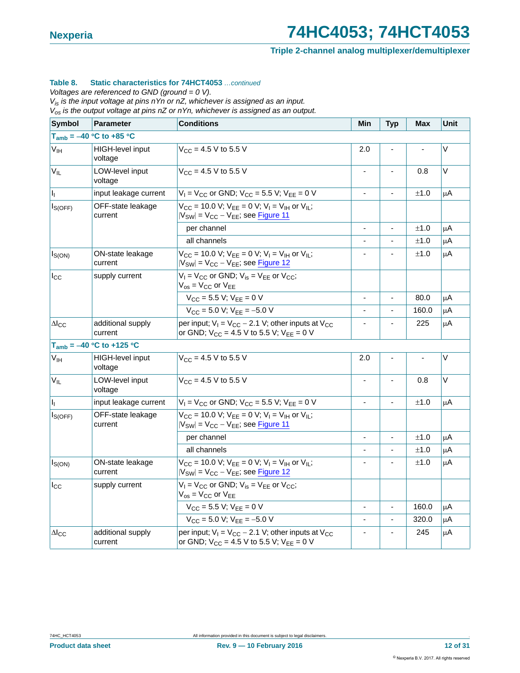**Triple 2-channel analog multiplexer/demultiplexer**

#### **Table 8. Static characteristics for 74HCT4053** *…continued*

*Voltages are referenced to GND (ground = 0 V).*

*Vis is the input voltage at pins nYn or nZ, whichever is assigned as an input.*

*Vos is the output voltage at pins nZ or nYn, whichever is assigned as an output.*

| <b>Symbol</b>             | <b>Parameter</b>              | <b>Conditions</b>                                                                                                                 | Min                      | <b>Typ</b> | Max   | Unit |
|---------------------------|-------------------------------|-----------------------------------------------------------------------------------------------------------------------------------|--------------------------|------------|-------|------|
|                           | $T_{amb} = -40 °C$ to +85 °C  |                                                                                                                                   |                          |            |       |      |
| V <sub>IH</sub>           | HIGH-level input<br>voltage   | $V_{\rm CC}$ = 4.5 V to 5.5 V                                                                                                     | 2.0                      |            |       | V    |
| $V_{IL}$                  | LOW-level input<br>voltage    | $V_{CC}$ = 4.5 V to 5.5 V                                                                                                         | $\overline{\phantom{0}}$ |            | 0.8   | V    |
| $I_1$                     | input leakage current         | $V_1 = V_{CC}$ or GND; $V_{CC} = 5.5$ V; $V_{EE} = 0$ V                                                                           |                          |            | ±1.0  | μA   |
| $I_{S(OFF)}$              | OFF-state leakage<br>current  | $V_{CC}$ = 10.0 V; $V_{EE}$ = 0 V; $V_1$ = V <sub>IH</sub> or V <sub>IL</sub> ;<br>$ V_{SW}  = V_{CC} - V_{EE}$ ; see Figure 11   |                          |            |       |      |
|                           |                               | per channel                                                                                                                       |                          |            | ±1.0  | μA   |
|                           |                               | all channels                                                                                                                      |                          |            | ±1.0  | μA   |
| $I_{S(ON)}$               | ON-state leakage<br>current   | $V_{CC}$ = 10.0 V; $V_{EE}$ = 0 V; $V_{I}$ = V <sub>IH</sub> or V <sub>IL</sub> ;<br>$ V_{SW}  = V_{CC} - V_{EE}$ ; see Figure 12 |                          |            | ±1.0  | μA   |
| $I_{\rm CC}$              | supply current                | $V_1 = V_{CC}$ or GND; $V_{is} = V_{EE}$ or $V_{CC}$ ;<br>$V_{\text{os}}$ = $V_{\text{CC}}$ or $V_{\text{EE}}$                    |                          |            |       |      |
|                           |                               | $V_{CC}$ = 5.5 V; $V_{EE}$ = 0 V                                                                                                  | $\overline{\phantom{a}}$ |            | 80.0  | μA   |
|                           |                               | $V_{CC}$ = 5.0 V; $V_{EE}$ = -5.0 V                                                                                               |                          |            | 160.0 | μA   |
| $\Delta\mathsf{l_{CC}}$   | additional supply<br>current  | per input; $V_1 = V_{CC} - 2.1$ V; other inputs at $V_{CC}$<br>or GND; $V_{CC} = 4.5 V$ to 5.5 V; $V_{EE} = 0 V$                  | ٠                        |            | 225   | μA   |
|                           | $T_{amb} = -40 °C$ to +125 °C |                                                                                                                                   |                          |            |       |      |
| V <sub>IH</sub>           | HIGH-level input<br>voltage   | $V_{CC}$ = 4.5 V to 5.5 V                                                                                                         | 2.0                      |            |       | V    |
| $V_{IL}$                  | LOW-level input<br>voltage    | $V_{CC}$ = 4.5 V to 5.5 V                                                                                                         | $\blacksquare$           |            | 0.8   | V    |
| $\mathbf{I}_{\mathbf{I}}$ | input leakage current         | $V_1$ = V <sub>CC</sub> or GND; V <sub>CC</sub> = 5.5 V; V <sub>EE</sub> = 0 V                                                    | $\blacksquare$           |            | ±1.0  | μA   |
| $I_{S(OFF)}$              | OFF-state leakage<br>current  | $V_{CC}$ = 10.0 V; $V_{EE}$ = 0 V; $V_1$ = $V_{IH}$ or $V_{IL}$ ;<br>$ V_{SW}  = V_{CC} - V_{EE}$ ; see Figure 11                 |                          |            |       |      |
|                           |                               | per channel                                                                                                                       | ÷,                       |            | ±1.0  | μA   |
|                           |                               | all channels                                                                                                                      | $\overline{\phantom{0}}$ |            | ±1.0  | μA   |
| $I_{S(ON)}$               | ON-state leakage<br>current   | $V_{CC}$ = 10.0 V; $V_{EE}$ = 0 V; $V_{I}$ = V <sub>IH</sub> or V <sub>IL</sub> ;<br>$ V_{SW}  = V_{CC} - V_{EE}$ ; see Figure 12 |                          |            | ±1.0  | μA   |
| $I_{\rm CC}$              | supply current                | $V_1 = V_{CC}$ or GND; $V_{is} = V_{EE}$ or $V_{CC}$ ;<br>$V_{OS}$ = $V_{CC}$ or $V_{EE}$                                         |                          |            |       |      |
|                           |                               | $V_{CC}$ = 5.5 V; $V_{EE}$ = 0 V                                                                                                  | $\blacksquare$           |            | 160.0 | μA   |
|                           |                               | $V_{CC}$ = 5.0 V; $V_{EE}$ = -5.0 V                                                                                               |                          |            | 320.0 | μA   |
| $\Delta I_{\text{CC}}$    | additional supply<br>current  | per input; $V_1 = V_{CC} - 2.1$ V; other inputs at $V_{CC}$<br>or GND; $V_{CC} = 4.5 V$ to 5.5 V; $V_{EE} = 0 V$                  |                          |            | 245   | μA   |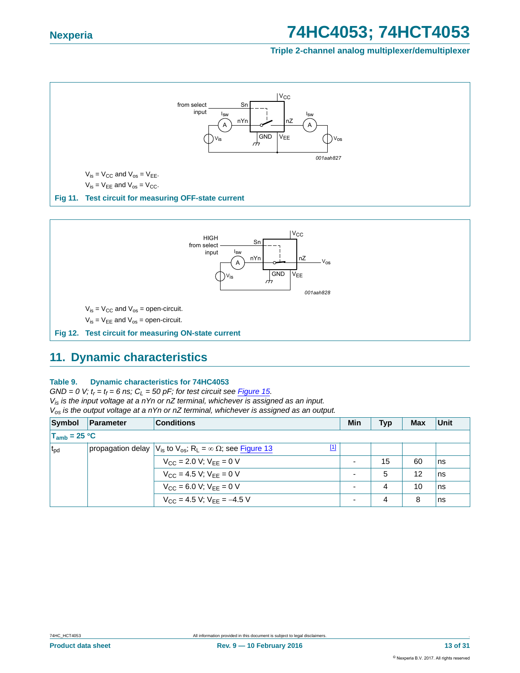#### **Triple 2-channel analog multiplexer/demultiplexer**



<span id="page-12-0"></span>

### <span id="page-12-2"></span><span id="page-12-1"></span>**11. Dynamic characteristics**

#### **Table 9. Dynamic characteristics for 74HC4053**

 $GND = 0$  V;  $t_r = t_f = 6$  ns;  $C_L = 50$  pF; for test circuit see *Figure 15. Vis is the input voltage at a nYn or nZ terminal, whichever is assigned as an input. Vos is the output voltage at a nYn or nZ terminal, whichever is assigned as an output.*

| Symbol            | Parameter | <b>Conditions</b>                                                                                   | Min | <b>Typ</b> | <b>Max</b> | Unit |
|-------------------|-----------|-----------------------------------------------------------------------------------------------------|-----|------------|------------|------|
| $T_{amb}$ = 25 °C |           |                                                                                                     |     |            |            |      |
| $t_{\rm pd}$      |           | [1]<br>propagation delay $ V_{is}$ to $V_{os}$ ; R <sub>1</sub> = $\infty$ $\Omega$ ; see Figure 13 |     |            |            |      |
|                   |           | $V_{CC}$ = 2.0 V; $V_{EE}$ = 0 V                                                                    |     | 15         | 60         | ns   |
|                   |           | $V_{CC} = 4.5 V$ ; $V_{FF} = 0 V$                                                                   |     | 5          | 12         | ns   |
|                   |           | $V_{CC}$ = 6.0 V; $V_{EE}$ = 0 V                                                                    |     | 4          | 10         | ns   |
|                   |           | $V_{CC}$ = 4.5 V; $V_{FF}$ = -4.5 V                                                                 |     | 4          | 8          | ns   |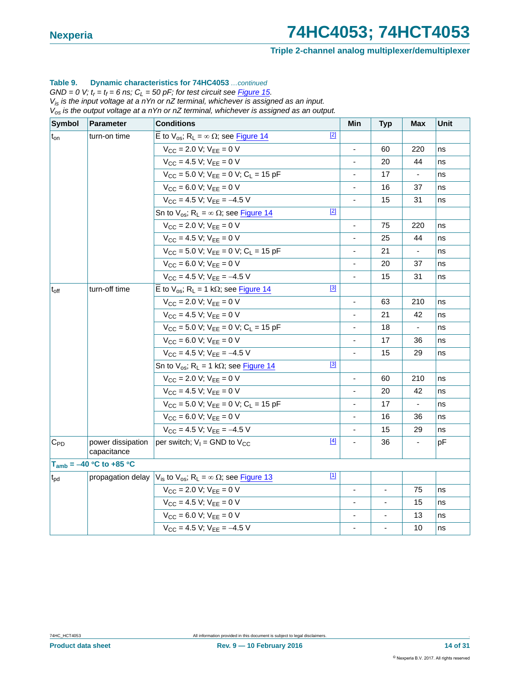#### **Triple 2-channel analog multiplexer/demultiplexer**

#### **Table 9. Dynamic characteristics for 74HC4053** *…continued*

 $GND = 0$  V;  $t_r = t_f = 6$  ns;  $C_L = 50$  pF; for test circuit see **Figure 15.** *Vis is the input voltage at a nYn or nZ terminal, whichever is assigned as an input. Vos is the output voltage at a nYn or nZ terminal, whichever is assigned as an output.*

| Symbol       | <b>Parameter</b>                 | <b>Conditions</b>                                                                                |                          | <b>Typ</b>     | <b>Max</b>                                   | Unit                 |
|--------------|----------------------------------|--------------------------------------------------------------------------------------------------|--------------------------|----------------|----------------------------------------------|----------------------|
| $t_{on}$     | turn-on time                     | $[2]$<br>$\overline{E}$ to V <sub>os</sub> ; R <sub>L</sub> = $\infty$ Ω; see Figure 14          |                          |                |                                              |                      |
|              |                                  | $V_{CC}$ = 2.0 V; $V_{EE}$ = 0 V                                                                 | ÷,                       | 60             | 220                                          | ns                   |
|              |                                  | $V_{CC} = 4.5 V$ ; $V_{EE} = 0 V$                                                                |                          | 20             | 44                                           | ns                   |
|              |                                  | $V_{CC}$ = 5.0 V; $V_{EE}$ = 0 V; $C_L$ = 15 pF                                                  | $\overline{\phantom{0}}$ | 17             | ÷,                                           | ns                   |
|              |                                  | $V_{CC} = 6.0 V$ ; $V_{FF} = 0 V$                                                                | $\overline{\phantom{a}}$ | 16             | 37                                           | ns                   |
|              |                                  | $V_{CC}$ = 4.5 V; $V_{EE}$ = -4.5 V                                                              | $\blacksquare$           | 15             | 31                                           | ns                   |
|              |                                  | $[2]$<br>Sn to $V_{OS}$ ; R <sub>L</sub> = $\infty$ $\Omega$ ; see Figure 14                     |                          |                |                                              |                      |
|              |                                  | $V_{CC}$ = 2.0 V; $V_{EE}$ = 0 V                                                                 | $\blacksquare$           | 75             | 220                                          | ns                   |
|              |                                  | $V_{CC} = 4.5 V$ ; $V_{FF} = 0 V$                                                                | $\blacksquare$           | 25             | 44                                           | ns                   |
|              |                                  | $V_{CC}$ = 5.0 V; $V_{EE}$ = 0 V; C <sub>L</sub> = 15 pF                                         |                          | 21             | $\blacksquare$                               | ns                   |
|              |                                  | $V_{CC} = 6.0 V; V_{EE} = 0 V$                                                                   |                          | 20             | 37                                           | ns                   |
|              |                                  | $V_{CC}$ = 4.5 V; $V_{EE}$ = -4.5 V                                                              | $\blacksquare$           | 15             | 31                                           | ns                   |
| $t_{off}$    | turn-off time                    | $[3]$<br>$\overline{E}$ to $V_{OS}$ ; R <sub>L</sub> = 1 kΩ; see Figure 14                       |                          |                |                                              |                      |
|              |                                  | $V_{CC}$ = 2.0 V; $V_{EE}$ = 0 V                                                                 |                          | 63             | 210                                          | ns                   |
|              |                                  | $V_{CC} = 4.5 V$ ; $V_{EE} = 0 V$                                                                |                          | 21             | 42                                           | ns                   |
|              |                                  | $V_{CC}$ = 5.0 V; $V_{EE}$ = 0 V; $C_L$ = 15 pF                                                  | $\blacksquare$           | 18             | $\blacksquare$<br>ns<br>36<br>ns<br>29<br>ns |                      |
|              |                                  | $V_{CC}$ = 6.0 V; $V_{EE}$ = 0 V                                                                 |                          | 17             |                                              |                      |
|              |                                  | $V_{CC}$ = 4.5 V; V <sub>EE</sub> = -4.5 V                                                       | $\blacksquare$           | 15             |                                              |                      |
|              |                                  | $[3]$<br>Sn to $V_{os}$ ; R <sub>L</sub> = 1 k $\Omega$ ; see Figure 14                          |                          |                |                                              |                      |
|              |                                  | $V_{CC}$ = 2.0 V; $V_{EE}$ = 0 V                                                                 | $\blacksquare$           | 60             | 210                                          | ns                   |
|              |                                  | $V_{CC} = 4.5 V$ ; $V_{FF} = 0 V$                                                                |                          | 20             | 42                                           | ns                   |
|              |                                  | $V_{CC}$ = 5.0 V; $V_{EE}$ = 0 V; $C_L$ = 15 pF                                                  |                          | 17             | $\overline{\phantom{a}}$                     | ns<br>ns<br>ns<br>pF |
|              |                                  | $V_{CC}$ = 6.0 V; $V_{EE}$ = 0 V                                                                 |                          | 16             | 36                                           |                      |
|              |                                  | $V_{CC}$ = 4.5 V; $V_{EE}$ = -4.5 V                                                              | $\overline{\phantom{a}}$ | 15             | 29                                           |                      |
| $C_{PD}$     | power dissipation<br>capacitance | $[4]$<br>per switch; $V_1 =$ GND to $V_{CC}$                                                     | $\overline{\phantom{a}}$ | 36             | $\blacksquare$                               |                      |
|              | $T_{amb} = -40 °C$ to +85 °C     |                                                                                                  |                          |                |                                              |                      |
| $t_{\rm pd}$ | propagation delay                | $[1]$<br>$V_{\text{is}}$ to $V_{\text{os}}$ ; R <sub>L</sub> = $\infty$ $\Omega$ ; see Figure 13 |                          |                |                                              |                      |
|              |                                  | $V_{CC}$ = 2.0 V; $V_{EE}$ = 0 V                                                                 | $\blacksquare$           | $\blacksquare$ | 75                                           | ns                   |
|              |                                  | $V_{CC}$ = 4.5 V; $V_{FF}$ = 0 V                                                                 |                          |                | 15                                           | ns                   |
|              |                                  | $V_{CC}$ = 6.0 V; $V_{EE}$ = 0 V                                                                 |                          |                | 13                                           | ns                   |
|              |                                  | $V_{CC}$ = 4.5 V; $V_{FF}$ = -4.5 V                                                              |                          |                | 10                                           | ns                   |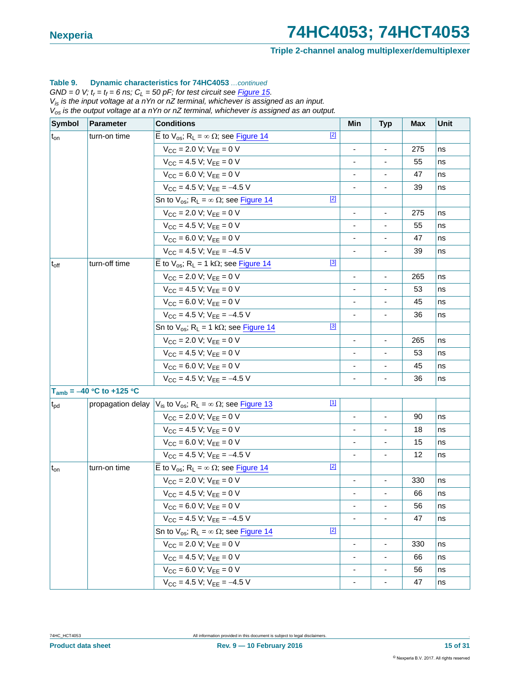#### **Triple 2-channel analog multiplexer/demultiplexer**

#### **Table 9. Dynamic characteristics for 74HC4053** *…continued*

 $GND = 0$  V;  $t_r = t_f = 6$  ns;  $C_L = 50$  pF; for test circuit see **Figure 15.** *Vis is the input voltage at a nYn or nZ terminal, whichever is assigned as an input. Vos is the output voltage at a nYn or nZ terminal, whichever is assigned as an output.*

| <b>Symbol</b> | <b>Parameter</b>              | <b>Conditions</b>                                                                        | Min                      | <b>Typ</b>               | <b>Max</b> | Unit     |
|---------------|-------------------------------|------------------------------------------------------------------------------------------|--------------------------|--------------------------|------------|----------|
| $t_{on}$      | turn-on time                  | $[2]$<br>E to $V_{os}$ ; R <sub>L</sub> = $\infty$ Ω; see Figure 14                      |                          |                          |            |          |
|               |                               | $V_{CC}$ = 2.0 V; $V_{EE}$ = 0 V                                                         |                          |                          | 275        | ns       |
|               |                               | $V_{CC}$ = 4.5 V; $V_{EE}$ = 0 V                                                         | $\overline{\phantom{a}}$ | $\overline{\phantom{a}}$ | 55         | ns       |
|               |                               | $V_{CC}$ = 6.0 V; $V_{EE}$ = 0 V                                                         |                          |                          | 47         | ns       |
|               |                               | $V_{CC}$ = 4.5 V; $V_{EE}$ = -4.5 V                                                      |                          |                          | 39         | ns       |
|               |                               | $[2]$<br>Sn to $V_{os}$ ; R <sub>L</sub> = $\infty$ $\Omega$ ; see Figure 14             |                          |                          |            |          |
|               |                               | $V_{CC}$ = 2.0 V; $V_{EE}$ = 0 V                                                         | $\overline{\phantom{a}}$ | $\blacksquare$           | 275        | ns       |
|               |                               | $V_{CC}$ = 4.5 V; $V_{EE}$ = 0 V                                                         |                          |                          | 55         | ns       |
|               |                               | $V_{CC} = 6.0 V$ ; $V_{FF} = 0 V$                                                        | $\overline{\phantom{a}}$ |                          | 47         | ns       |
|               |                               | $V_{CC}$ = 4.5 V; $V_{EE}$ = -4.5 V                                                      |                          |                          | 39         | ns       |
| $t_{off}$     | turn-off time                 | [3]<br>E to $V_{OS}$ ; R <sub>L</sub> = 1 k $\Omega$ ; see Figure 14                     |                          |                          |            |          |
|               |                               | $V_{CC}$ = 2.0 V; $V_{EE}$ = 0 V                                                         |                          |                          | 265        | ns       |
|               |                               | $V_{CC} = 4.5 V$ ; $V_{FF} = 0 V$                                                        |                          |                          | 53         | ns       |
|               |                               | $V_{CC}$ = 6.0 V; $V_{EE}$ = 0 V                                                         |                          |                          | 45         | ns       |
|               |                               | $V_{CC}$ = 4.5 V; $V_{FF}$ = -4.5 V                                                      | $\overline{\phantom{a}}$ | $\overline{\phantom{a}}$ | 36         | ns       |
|               |                               | [3]<br>Sn to $V_{os}$ ; R <sub>L</sub> = 1 k $\Omega$ ; see Figure 14                    |                          |                          |            |          |
|               |                               | $V_{CC}$ = 2.0 V; $V_{EE}$ = 0 V                                                         | $\overline{\phantom{a}}$ | $\overline{\phantom{a}}$ | 265        | ns       |
|               |                               | $V_{CC} = 4.5 V$ ; $V_{FF} = 0 V$                                                        |                          |                          | 53         | ns       |
|               |                               | $V_{CC} = 6.0 V; V_{EE} = 0 V$                                                           | $\blacksquare$           |                          | 45         | ns       |
|               |                               | $V_{CC}$ = 4.5 V; $V_{EE}$ = -4.5 V                                                      |                          |                          | 36         | ns       |
|               | $T_{amb} = -40 °C$ to +125 °C |                                                                                          |                          |                          |            |          |
| $t_{\rm pd}$  | propagation delay             | $\boxed{1}$<br>$V_{is}$ to $V_{os}$ ; R <sub>L</sub> = $\infty$ $\Omega$ ; see Figure 13 |                          |                          |            |          |
|               |                               | $V_{CC}$ = 2.0 V; $V_{EE}$ = 0 V                                                         |                          | $\overline{\phantom{a}}$ | 90         | ns       |
|               |                               | $V_{CC}$ = 4.5 V; $V_{EE}$ = 0 V                                                         |                          |                          | 18         | ns       |
|               |                               | $V_{CC} = 6.0 V; V_{EE} = 0 V$                                                           | $\blacksquare$           |                          | 15         | ns       |
|               |                               | $V_{CC}$ = 4.5 V; $V_{EE}$ = -4.5 V                                                      |                          |                          | 12         | ns       |
| $t_{on}$      | turn-on time                  | $[2]$<br>E to $V_{os}$ ; R <sub>L</sub> = $\infty$ Ω; see Figure 14                      |                          |                          |            |          |
|               |                               | $V_{CC}$ = 2.0 V; $V_{EE}$ = 0 V                                                         |                          |                          | 330        | ns       |
|               |                               | $V_{CC} = 4.5 V$ ; $V_{FF} = 0 V$                                                        |                          |                          | 66         | ns       |
|               |                               | $V_{CC}$ = 6.0 V; $V_{EE}$ = 0 V                                                         |                          |                          | 56         | ns       |
|               |                               | $V_{CC}$ = 4.5 V; $V_{EE}$ = -4.5 V                                                      | $\blacksquare$           | ٠                        | 47         | ns       |
|               |                               | $[2]$<br>Sn to $V_{\text{os}}$ ; R <sub>L</sub> = $\infty$ $\Omega$ ; see Figure 14      |                          |                          |            |          |
|               |                               | $V_{CC}$ = 2.0 V; $V_{EE}$ = 0 V                                                         | $\overline{\phantom{a}}$ | $\blacksquare$           | 330        | ns       |
|               |                               | $V_{CC}$ = 4.5 V; $V_{EE}$ = 0 V                                                         |                          |                          | 66         | ns       |
|               |                               | $V_{CC}$ = 6.0 V; $V_{EE}$ = 0 V                                                         | $\overline{\phantom{a}}$ |                          | 56         | ns<br>ns |
|               |                               | $V_{CC}$ = 4.5 V; $V_{FF}$ = -4.5 V                                                      | $\overline{\phantom{a}}$ | $\overline{\phantom{a}}$ | 47         |          |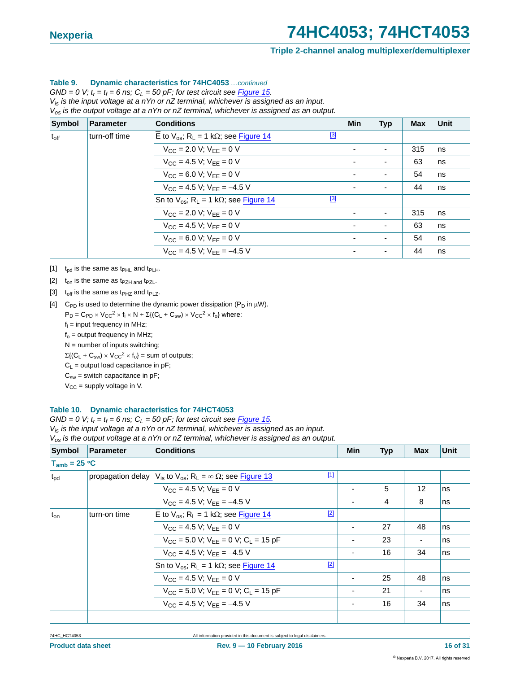#### **Triple 2-channel analog multiplexer/demultiplexer**

#### **Table 9. Dynamic characteristics for 74HC4053** *…continued*

 $GND = 0$  V;  $t_r = t_f = 6$  ns;  $C_l = 50$  pF; for test circuit see Figure 15. *Vis is the input voltage at a nYn or nZ terminal, whichever is assigned as an input. Vos is the output voltage at a nYn or nZ terminal, whichever is assigned as an output.*

| <b>Symbol</b> | Parameter                                                             | <b>Conditions</b>                                                       | <b>Min</b>               | <b>Typ</b> | <b>Max</b> | <b>Unit</b> |
|---------------|-----------------------------------------------------------------------|-------------------------------------------------------------------------|--------------------------|------------|------------|-------------|
| $t_{\rm off}$ | turn-off time                                                         | [3]<br>E to $V_{OS}$ ; R <sub>L</sub> = 1 k $\Omega$ ; see Figure 14    |                          |            |            |             |
|               |                                                                       | $V_{\text{CC}} = 2.0 V$ ; $V_{\text{EE}} = 0 V$                         | ٠                        |            | 315        | Ins         |
|               |                                                                       | $V_{CC}$ = 4.5 V; $V_{EE}$ = 0 V                                        | ٠                        |            | 63         | <b>ns</b>   |
|               | $V_{CC} = 6.0 V; V_{EE} = 0 V$<br>$V_{CC}$ = 4.5 V; $V_{EE}$ = -4.5 V |                                                                         | $\overline{\phantom{a}}$ |            | 54         | <b>ns</b>   |
|               |                                                                       |                                                                         |                          |            | 44         | <b>ns</b>   |
|               |                                                                       | $[3]$<br>Sn to $V_{OS}$ ; R <sub>L</sub> = 1 k $\Omega$ ; see Figure 14 |                          |            |            |             |
|               |                                                                       | $V_{CC} = 2.0 V$ ; $V_{FF} = 0 V$                                       |                          |            | 315        | <b>ns</b>   |
|               |                                                                       | $V_{CC}$ = 4.5 V; $V_{EE}$ = 0 V                                        | $\overline{\phantom{a}}$ |            | 63         | <b>ns</b>   |
|               |                                                                       | $V_{CC}$ = 6.0 V; $V_{EE}$ = 0 V                                        | $\overline{\phantom{0}}$ |            | 54         | <b>ns</b>   |
|               |                                                                       | $V_{CC}$ = 4.5 V; $V_{FF}$ = -4.5 V                                     | $\overline{\phantom{0}}$ |            | 44         | <b>ns</b>   |

<span id="page-15-0"></span>[1]  $t_{\text{od}}$  is the same as  $t_{\text{PHL}}$  and  $t_{\text{PLH}}$ .

<span id="page-15-1"></span>[2]  $t_{on}$  is the same as t<sub>PZH and</sub> t<sub>PZL</sub>.

<span id="page-15-2"></span>[3]  $t_{off}$  is the same as  $t_{PHZ}$  and  $t_{PLZ}$ .

<span id="page-15-3"></span>[4] C<sub>PD</sub> is used to determine the dynamic power dissipation ( $P_D$  in  $\mu$ W).

 $P_D = C_{PD} \times V_{CC}^2 \times f_i \times N + \Sigma \{(C_L + C_{sw}) \times V_{CC}^2 \times f_0\}$  where:

f<sub>i</sub> = input frequency in MHz;

 $f_0$  = output frequency in MHz;

 $N =$  number of inputs switching;

 $\Sigma\{(C_L + C_{sw}) \times V_{CC}^2 \times f_0\} =$  sum of outputs;

 $C_L$  = output load capacitance in pF;

 $C_{sw}$  = switch capacitance in pF;

 $V_{CC}$  = supply voltage in V.

#### **Table 10. Dynamic characteristics for 74HCT4053**

 $GND = 0$  V;  $t_r = t_f = 6$  ns;  $C_L = 50$  pF; for test circuit see *Figure 15.* 

*Vis is the input voltage at a nYn or nZ terminal, whichever is assigned as an input.*

*Vos is the output voltage at a nYn or nZ terminal, whichever is assigned as an output.*

| Symbol            | Parameter    | <b>Conditions</b>                                                                                     | Min | <b>Typ</b> | <b>Max</b> | Unit |
|-------------------|--------------|-------------------------------------------------------------------------------------------------------|-----|------------|------------|------|
| $T_{amb}$ = 25 °C |              |                                                                                                       |     |            |            |      |
| $t_{\rm pd}$      |              | $[1]$<br>propagation delay $ V_{is}$ to $V_{os}$ ; R <sub>L</sub> = $\infty$ $\Omega$ ; see Figure 13 |     |            |            |      |
|                   |              | $V_{CC} = 4.5 V$ ; $V_{FF} = 0 V$                                                                     |     | 5          | 12         | ns   |
|                   |              | $V_{CC}$ = 4.5 V; $V_{EE}$ = -4.5 V                                                                   |     | 4          | 8          | ns   |
| $t_{on}$          | turn-on time | $[2]$<br>$\overline{E}$ to $V_{\text{os}}$ ; R <sub>L</sub> = 1 k $\Omega$ ; see Figure 14            |     |            |            |      |
|                   |              | $V_{CC} = 4.5 V$ ; $V_{FF} = 0 V$                                                                     |     | 27         | 48         | ns   |
|                   |              | $V_{CC}$ = 5.0 V; $V_{FF}$ = 0 V; C <sub>1</sub> = 15 pF                                              |     | 23         |            | ns   |
|                   |              | $V_{CC}$ = 4.5 V; $V_{FF}$ = -4.5 V                                                                   |     | 16         | 34         | ns   |
|                   |              | $[2]$<br>Sn to $V_{OS}$ ; R <sub>L</sub> = 1 k $\Omega$ ; see Figure 14                               |     |            |            |      |
|                   |              | $V_{CC} = 4.5 V$ ; $V_{FF} = 0 V$                                                                     |     | 25         | 48         | ns   |
|                   |              | $V_{CC}$ = 5.0 V; $V_{EE}$ = 0 V; $C_L$ = 15 pF                                                       |     | 21         |            | Ins  |
|                   |              | $V_{CC}$ = 4.5 V; $V_{FF}$ = -4.5 V                                                                   |     | 16         | 34         | ns   |
|                   |              |                                                                                                       |     |            |            |      |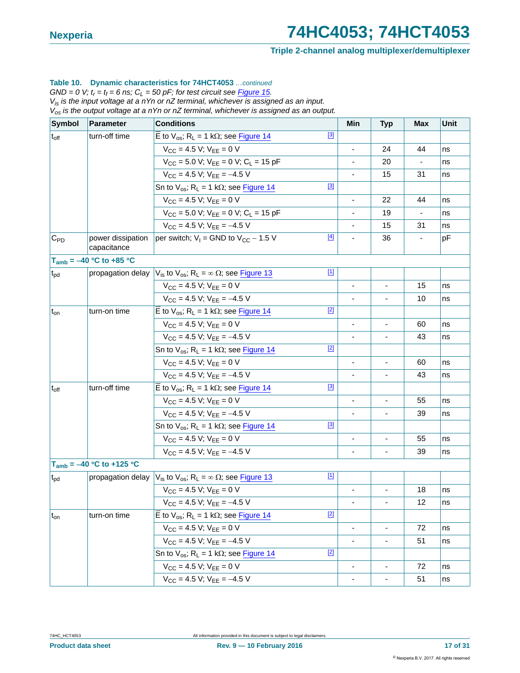#### **Triple 2-channel analog multiplexer/demultiplexer**

#### **Table 10. Dynamic characteristics for 74HCT4053** *…continued*

 $GND = 0$  V;  $t_r = t_f = 6$  ns;  $C_L = 50$  pF; for test circuit see **Figure 15.** *Vis is the input voltage at a nYn or nZ terminal, whichever is assigned as an input.*

*Vos is the output voltage at a nYn or nZ terminal, whichever is assigned as an output.*

| Symbol          | <b>Parameter</b>                 | <b>Conditions</b>                                                                                      | Min                          | <b>Typ</b>                   | <b>Max</b>               | <b>Unit</b>    |
|-----------------|----------------------------------|--------------------------------------------------------------------------------------------------------|------------------------------|------------------------------|--------------------------|----------------|
| $t_{off}$       | turn-off time                    | $[3]$<br>E to $V_{OS}$ ; R <sub>L</sub> = 1 k $\Omega$ ; see Figure 14                                 |                              |                              |                          |                |
|                 |                                  | $V_{CC}$ = 4.5 V; $V_{FF}$ = 0 V                                                                       | $\frac{1}{2}$                | 24                           | 44                       | ns             |
|                 |                                  | $V_{CC}$ = 5.0 V; $V_{EE}$ = 0 V; $C_L$ = 15 pF                                                        |                              | 20                           | $\overline{\phantom{a}}$ | ns             |
|                 |                                  | $V_{CC}$ = 4.5 V; $V_{FF}$ = -4.5 V                                                                    |                              | 15                           | 31                       | ns             |
|                 |                                  | $[3]$<br>Sn to $V_{OS}$ ; R <sub>L</sub> = 1 k $\Omega$ ; see Figure 14                                |                              |                              |                          |                |
|                 |                                  | $V_{CC}$ = 4.5 V; $V_{EE}$ = 0 V                                                                       | $\frac{1}{2}$                | 22                           | 44                       | ns             |
|                 |                                  | $V_{\text{CC}} = 5.0$ V; $V_{\text{FF}} = 0$ V; $C_1 = 15$ pF                                          |                              | 19                           | $\overline{\phantom{a}}$ | ns             |
|                 |                                  | $V_{CC}$ = 4.5 V; $V_{FF}$ = -4.5 V                                                                    |                              | 15                           | 31                       | ns             |
| $C_{PD}$        | power dissipation<br>capacitance | $[4]$<br>per switch; $V_1$ = GND to $V_{CC}$ – 1.5 V                                                   | ÷,                           | 36                           | $\overline{\phantom{a}}$ | pF             |
|                 | $T_{amb} = -40 °C$ to +85 °C     |                                                                                                        |                              |                              |                          |                |
| t <sub>pd</sub> | propagation delay                | $\boxed{1}$<br>$V_{\text{is}}$ to $V_{\text{os}}$ ; R <sub>L</sub> = $\infty$ $\Omega$ ; see Figure 13 |                              |                              |                          |                |
|                 |                                  | $V_{CC} = 4.5 V$ ; $V_{FF} = 0 V$                                                                      |                              |                              | 15                       | ns             |
|                 |                                  | $V_{CC}$ = 4.5 V; $V_{EE}$ = -4.5 V                                                                    |                              |                              | 10                       | ns             |
| $t_{on}$        | turn-on time                     | $[2]$<br>E to $V_{OS}$ ; R <sub>L</sub> = 1 k $\Omega$ ; see Figure 14                                 |                              |                              |                          |                |
|                 |                                  | $V_{CC} = 4.5 V$ ; $V_{FF} = 0 V$                                                                      | $\overline{\phantom{a}}$     | $\blacksquare$               | 60                       | ns             |
|                 |                                  | $V_{CC}$ = 4.5 V; $V_{EE}$ = -4.5 V                                                                    |                              |                              | 43                       | ns             |
|                 |                                  | $[2]$<br>Sn to $V_{OS}$ ; R <sub>L</sub> = 1 k $\Omega$ ; see Figure 14                                |                              |                              |                          |                |
|                 |                                  | $V_{CC}$ = 4.5 V; $V_{EE}$ = 0 V                                                                       |                              |                              | 60                       | ns             |
|                 |                                  | $V_{CC}$ = 4.5 V; $V_{EE}$ = -4.5 V                                                                    | $\frac{1}{2}$                | $\blacksquare$               | 43                       | ns             |
| $t_{off}$       | turn-off time                    | $[3]$<br>E to $V_{OS}$ ; R <sub>L</sub> = 1 k $\Omega$ ; see Figure 14                                 |                              |                              |                          |                |
|                 |                                  | $V_{CC}$ = 4.5 V; $V_{EE}$ = 0 V                                                                       | $\qquad \qquad \blacksquare$ | $\blacksquare$               | 55                       | ns             |
|                 |                                  | $V_{CC}$ = 4.5 V; $V_{EE}$ = -4.5 V                                                                    |                              |                              | 39                       | ns             |
|                 |                                  | [3]<br>Sn to $V_{os}$ ; R <sub>L</sub> = 1 k $\Omega$ ; see Figure 14                                  |                              |                              |                          |                |
|                 |                                  | $V_{CC}$ = 4.5 V; $V_{EE}$ = 0 V                                                                       |                              |                              | 55                       | ns<br>39<br>ns |
|                 |                                  | $V_{CC}$ = 4.5 V; $V_{EE}$ = -4.5 V                                                                    |                              |                              |                          |                |
|                 | $T_{amb} = -40 °C$ to +125 °C    |                                                                                                        |                              |                              |                          |                |
| $t_{\rm pd}$    | propagation delay                | $[1]$<br>$V_{is}$ to $V_{os}$ ; R <sub>L</sub> = $\infty$ $\Omega$ ; see Figure 13                     |                              |                              |                          |                |
|                 |                                  | $V_{CC} = 4.5 V$ ; $V_{FF} = 0 V$                                                                      |                              |                              | 18                       | ns             |
|                 |                                  | $V_{CC}$ = 4.5 V; $V_{EE}$ = -4.5 V                                                                    |                              |                              | 12                       | ns             |
| $t_{on}$        | turn-on time                     | $[2]$<br>$\overline{E}$ to $V_{os}$ ; R <sub>L</sub> = 1 kΩ; see <b>Figure 14</b>                      |                              |                              |                          |                |
|                 |                                  | $V_{CC}$ = 4.5 V; $V_{EE}$ = 0 V                                                                       |                              | $\qquad \qquad \blacksquare$ | 72                       | ns             |
|                 |                                  | $V_{CC}$ = 4.5 V; $V_{EE}$ = -4.5 V                                                                    |                              |                              | 51                       | ns             |
|                 |                                  | $[2]$<br>Sn to $V_{os}$ ; R <sub>L</sub> = 1 k $\Omega$ ; see Figure 14                                |                              |                              |                          |                |
|                 |                                  | $V_{CC}$ = 4.5 V; $V_{EE}$ = 0 V                                                                       |                              | ä,                           | 72                       | ns             |
|                 |                                  | $V_{CC}$ = 4.5 V; $V_{EE}$ = -4.5 V                                                                    |                              |                              | 51                       | ns             |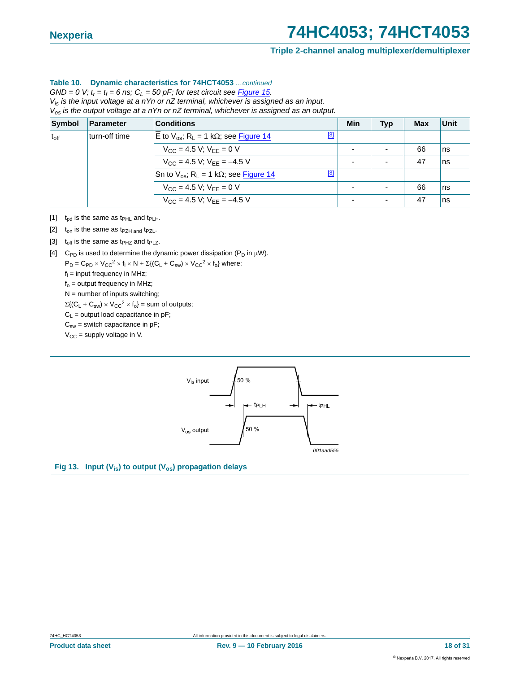#### **Triple 2-channel analog multiplexer/demultiplexer**

#### **Table 10. Dynamic characteristics for 74HCT4053** *…continued*

 $GND = 0$  V;  $t_r = t_f = 6$  ns;  $C_L = 50$  pF; for test circuit see **Figure 15.** *Vis is the input voltage at a nYn or nZ terminal, whichever is assigned as an input. Vos is the output voltage at a nYn or nZ terminal, whichever is assigned as an output.*

| Symbol        | Parameter     | <b>Conditions</b>                                                           | Min | <b>Typ</b> | <b>Max</b> | Unit |
|---------------|---------------|-----------------------------------------------------------------------------|-----|------------|------------|------|
| $t_{\rm off}$ | turn-off time | [3]<br>E to $V_{\text{os}}$ ; R <sub>1</sub> = 1 k $\Omega$ ; see Figure 14 |     |            |            |      |
|               |               | $V_{CC}$ = 4.5 V; $V_{EE}$ = 0 V                                            |     |            | 66         | ns   |
|               |               | $V_{CC}$ = 4.5 V; $V_{FF}$ = -4.5 V                                         |     |            | 47         | ns   |
|               |               | [3]<br>Sn to $V_{OS}$ ; R <sub>L</sub> = 1 k $\Omega$ ; see Figure 14       |     |            |            |      |
|               |               | $V_{CC} = 4.5 V$ ; $V_{EE} = 0 V$                                           |     |            | 66         | ns   |
|               |               | $V_{CC} = 4.5 V$ ; $V_{FF} = -4.5 V$                                        |     |            | 47         | ns   |

- <span id="page-17-1"></span>[1]  $t_{pd}$  is the same as  $t_{PHL}$  and  $t_{PLH}$ .
- <span id="page-17-2"></span>[2]  $t_{on}$  is the same as  $t_{PZH}$  and  $t_{PZL}$ .
- <span id="page-17-3"></span>[3]  $t_{off}$  is the same as t<sub>PHZ</sub> and t<sub>PLZ</sub>.
- <span id="page-17-4"></span>[4] C<sub>PD</sub> is used to determine the dynamic power dissipation (P<sub>D</sub> in  $\mu$ W).

 $P_D = C_{PD} \times V_{CC}^2 \times f_i \times N + \Sigma \{ (C_L + C_{sw}) \times V_{CC}^2 \times f_0 \}$  where:

f<sub>i</sub> = input frequency in MHz;  $f<sub>o</sub>$  = output frequency in MHz;

 $N =$  number of inputs switching;

 $\Sigma\{(\mathsf{C}_\mathsf{L} + \mathsf{C}_{\mathsf{sw}}) \times \mathsf{V}_{\mathsf{CC}}^2 \times \mathsf{f}_{\mathsf{o}}\} = \text{sum of outputs};$ 

 $C_L$  = output load capacitance in pF;

 $C_{sw}$  = switch capacitance in pF;

 $V_{CC}$  = supply voltage in V.

<span id="page-17-0"></span>![](_page_17_Figure_17.jpeg)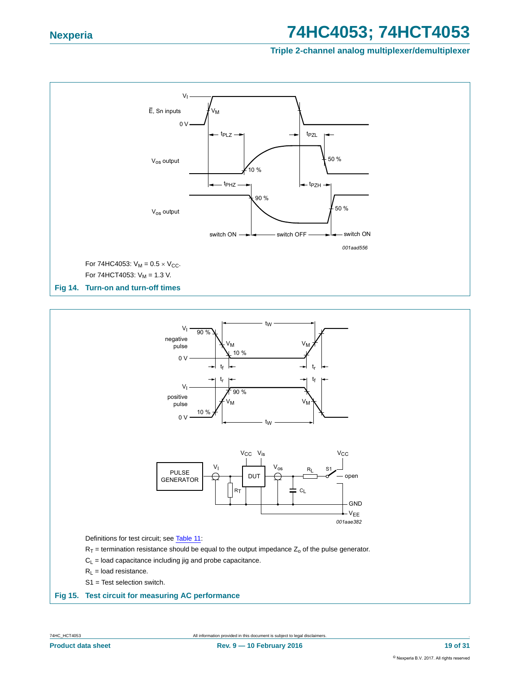**Triple 2-channel analog multiplexer/demultiplexer**

![](_page_18_Figure_3.jpeg)

<span id="page-18-1"></span>![](_page_18_Figure_4.jpeg)

![](_page_18_Figure_5.jpeg)

Definitions for test circuit; see [Table 11:](#page-19-0)

 $R_T$  = termination resistance should be equal to the output impedance  $Z_0$  of the pulse generator.

- $C_L$  = load capacitance including jig and probe capacitance.
- $R_L$  = load resistance.
- S1 = Test selection switch.

#### <span id="page-18-0"></span>**Fig 15. Test circuit for measuring AC performance**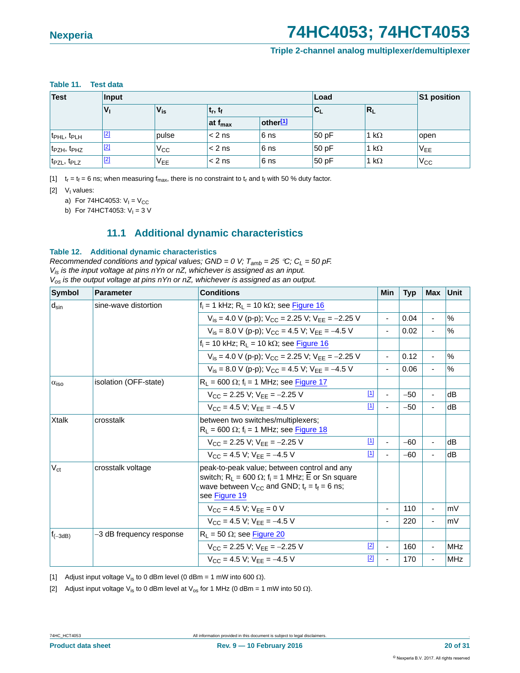#### **Triple 2-channel analog multiplexer/demultiplexer**

#### <span id="page-19-0"></span>**Table 11. Test data**

| <b>Test</b>                         | Input | Load            |                     |                        |       | S1 position  |                 |
|-------------------------------------|-------|-----------------|---------------------|------------------------|-------|--------------|-----------------|
|                                     | V,    | $V_{is}$        | $ t_r, t_f$         | 'UL                    |       | $R_L$        |                 |
|                                     |       |                 | at f <sub>max</sub> | $other$ <sup>[1]</sup> |       |              |                 |
| t <sub>PHL</sub> , t <sub>PLH</sub> | $[2]$ | pulse           | $\leq$ 2 ns         | 6 <sub>ns</sub>        | 50 pF | 1 k $\Omega$ | open            |
| t <sub>PZH</sub> , t <sub>PHZ</sub> | $[2]$ | $V_{\rm CC}$    | $\leq 2$ ns         | 6 <sub>ns</sub>        | 50 pF | 1 k $\Omega$ | V <sub>EE</sub> |
| t <sub>PZL</sub> , t <sub>PLZ</sub> | $[2]$ | V <sub>EE</sub> | $\leq 2$ ns         | 6 <sub>ns</sub>        | 50 pF | 1 k $\Omega$ | $V_{\rm CC}$    |

<span id="page-19-1"></span>[1]  $t_r = t_f = 6$  ns; when measuring  $f_{max}$ , there is no constraint to  $t_r$  and  $t_f$  with 50 % duty factor.

<span id="page-19-2"></span>[2] V<sub>I</sub> values:

a) For 74HC4053:  $V_1 = V_{CC}$ 

b) For 74HCT4053:  $V_1 = 3 V$ 

### **11.1 Additional dynamic characteristics**

#### <span id="page-19-5"></span>**Table 12. Additional dynamic characteristics**

*Recommended conditions and typical values; GND = 0 V;*  $T_{amb}$  *= 25 °C; C<sub>L</sub> = 50 pF. Vis is the input voltage at pins nYn or nZ, whichever is assigned as an input. Vos is the output voltage at pins nYn or nZ, whichever is assigned as an output.*

| <b>Symbol</b>      | <b>Parameter</b>         | <b>Conditions</b>                                                                                                                                                                                    |       | Min                      | <b>Typ</b> | Max                      | Unit          |
|--------------------|--------------------------|------------------------------------------------------------------------------------------------------------------------------------------------------------------------------------------------------|-------|--------------------------|------------|--------------------------|---------------|
| $d_{\text{sin}}$   | sine-wave distortion     | $f_i = 1$ kHz; $R_L = 10$ k $\Omega$ ; see Figure 16                                                                                                                                                 |       |                          |            |                          |               |
|                    |                          | $V_{is} = 4.0$ V (p-p): $V_{CC} = 2.25$ V: $V_{EF} = -2.25$ V                                                                                                                                        |       | $\overline{\phantom{a}}$ | 0.04       | $\overline{\phantom{a}}$ | $\frac{0}{0}$ |
|                    |                          | $V_{is} = 8.0$ V (p-p): $V_{CC} = 4.5$ V: $V_{EF} = -4.5$ V                                                                                                                                          |       | $\overline{\phantom{a}}$ | 0.02       | $\blacksquare$           | $\%$          |
|                    |                          | $f_i = 10$ kHz; $R_L = 10$ k $\Omega$ ; see Figure 16                                                                                                                                                |       |                          |            |                          |               |
|                    |                          | $V_{is} = 4.0$ V (p-p): $V_{CC} = 2.25$ V: $V_{EF} = -2.25$ V                                                                                                                                        |       | $\overline{\phantom{a}}$ | 0.12       | $\overline{\phantom{a}}$ | $\frac{0}{0}$ |
|                    |                          | $V_{is} = 8.0$ V (p-p): $V_{CC} = 4.5$ V: $V_{EF} = -4.5$ V                                                                                                                                          |       | $\overline{\phantom{a}}$ | 0.06       | $\blacksquare$           | $\frac{0}{0}$ |
| $\alpha_{\rm iso}$ | isolation (OFF-state)    | $R_L$ = 600 $\Omega$ ; f <sub>i</sub> = 1 MHz; see Figure 17                                                                                                                                         |       |                          |            |                          |               |
|                    |                          | $V_{CC}$ = 2.25 V: $V_{FE}$ = -2.25 V                                                                                                                                                                | $[1]$ |                          | $-50$      | $\blacksquare$           | dB            |
|                    |                          | $V_{CC} = 4.5 V: V_{EF} = -4.5 V$                                                                                                                                                                    | $[1]$ | $\blacksquare$           | $-50$      | ٠                        | dB            |
| <b>Xtalk</b>       | crosstalk                | between two switches/multiplexers;<br>$R_L$ = 600 $\Omega$ ; f <sub>i</sub> = 1 MHz; see Figure 18                                                                                                   |       |                          |            |                          |               |
|                    |                          | $V_{CC}$ = 2.25 V; $V_{FF}$ = -2.25 V                                                                                                                                                                | $[1]$ |                          | $-60$      | $\blacksquare$           | dB            |
|                    |                          | $V_{CC} = 4.5 V$ ; $V_{FF} = -4.5 V$                                                                                                                                                                 | $[1]$ |                          | $-60$      | $\overline{\phantom{a}}$ | dB            |
| $V_{ct}$           | crosstalk voltage        | peak-to-peak value; between control and any<br>switch; R <sub>1</sub> = 600 $\Omega$ ; f <sub>i</sub> = 1 MHz; E or Sn square<br>wave between $V_{CC}$ and GND; $t_r = t_f = 6$ ns;<br>see Figure 19 |       |                          |            |                          |               |
|                    |                          | $V_{CC} = 4.5 V$ ; $V_{FF} = 0 V$                                                                                                                                                                    |       | ٠                        | 110        | $\overline{\phantom{a}}$ | mV            |
|                    |                          | $V_{CC} = 4.5 V: V_{EF} = -4.5 V$                                                                                                                                                                    |       |                          | 220        | ٠                        | mV            |
| $ f_{(-3dB)} $     | -3 dB frequency response | $R_1 = 50 \Omega$ ; see Figure 20                                                                                                                                                                    |       |                          |            |                          |               |
|                    |                          | $V_{CC}$ = 2.25 V: $V_{EF}$ = -2.25 V                                                                                                                                                                | [2]   | ä,                       | 160        | $\blacksquare$           | <b>MHz</b>    |
|                    |                          | $V_{CC} = 4.5 V: V_{EF} = -4.5 V$                                                                                                                                                                    | $[2]$ |                          | 170        | ä,                       | <b>MHz</b>    |

<span id="page-19-3"></span>[1] Adjust input voltage  $V_{is}$  to 0 dBm level (0 dBm = 1 mW into 600  $\Omega$ ).

<span id="page-19-4"></span>[2] Adjust input voltage V<sub>is</sub> to 0 dBm level at V<sub>os</sub> for 1 MHz (0 dBm = 1 mW into 50  $\Omega$ ).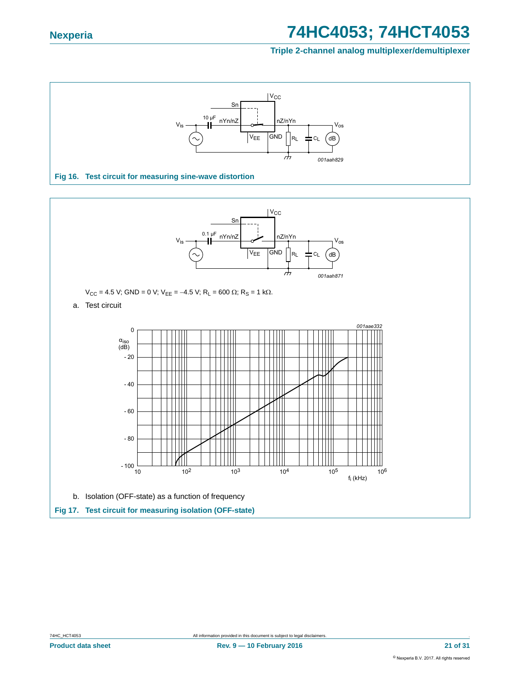<span id="page-20-1"></span><span id="page-20-0"></span>![](_page_20_Figure_3.jpeg)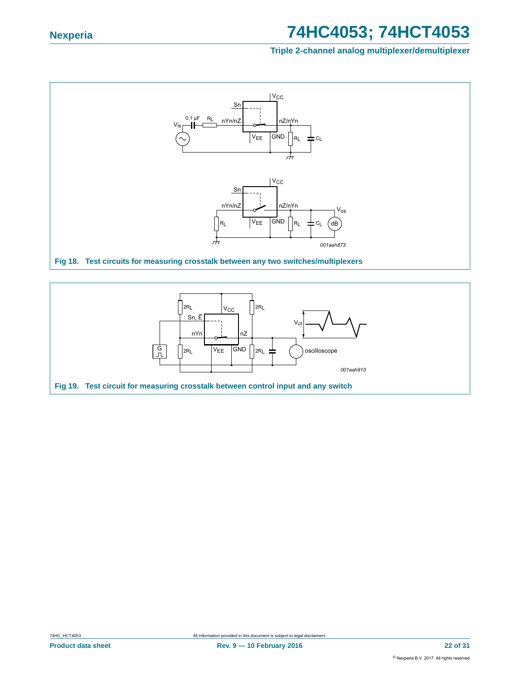![](_page_21_Figure_3.jpeg)

<span id="page-21-1"></span><span id="page-21-0"></span>![](_page_21_Figure_4.jpeg)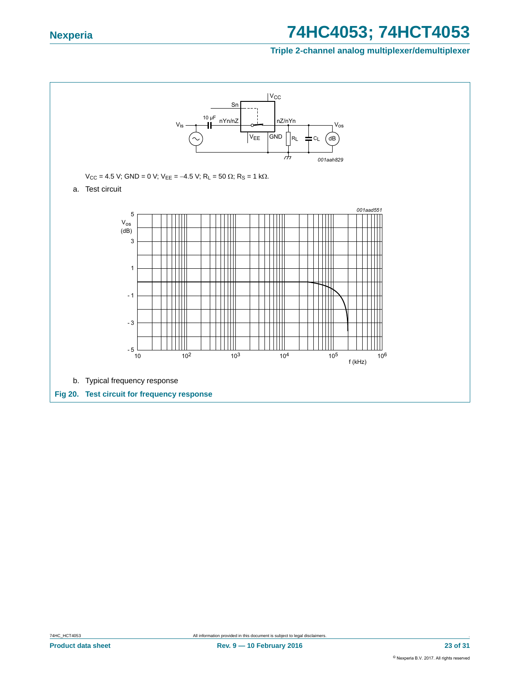<span id="page-22-0"></span>![](_page_22_Figure_3.jpeg)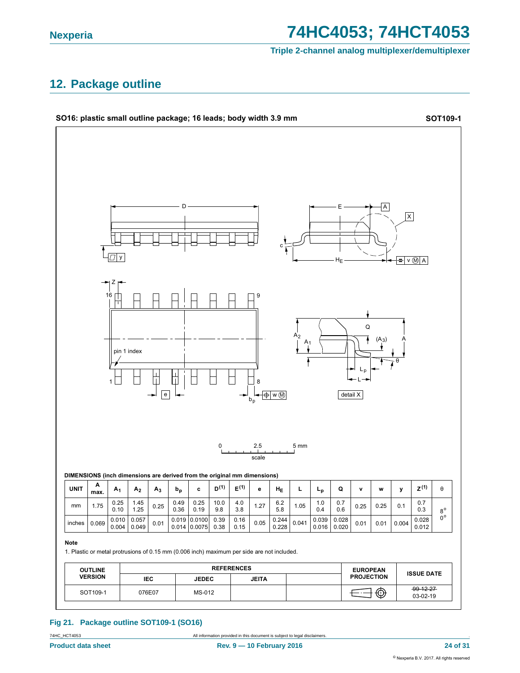#### **Triple 2-channel analog multiplexer/demultiplexer**

### <span id="page-23-0"></span>**12. Package outline**

![](_page_23_Figure_4.jpeg)

**Fig 21. Package outline SOT109-1 (SO16)**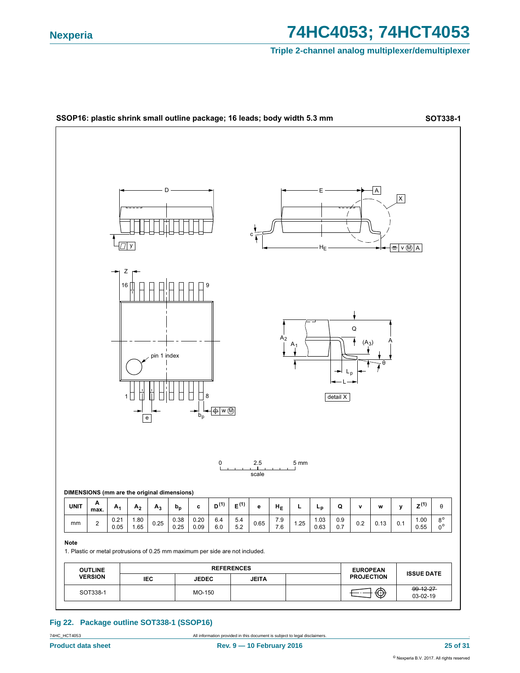#### **Triple 2-channel analog multiplexer/demultiplexer**

![](_page_24_Figure_3.jpeg)

#### **Fig 22. Package outline SOT338-1 (SSOP16)**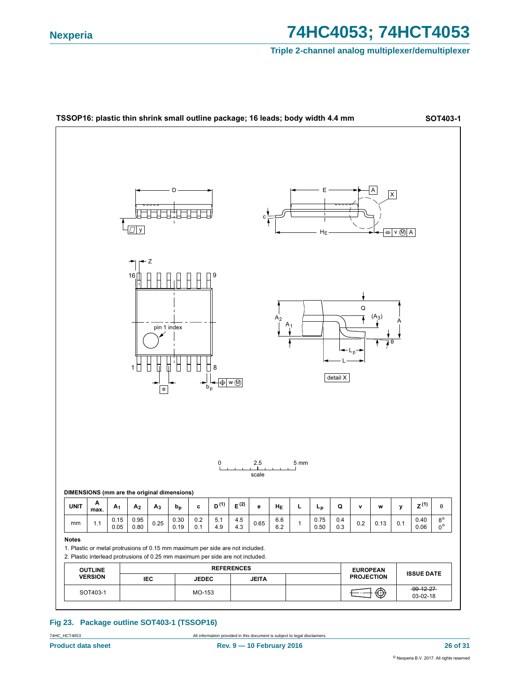#### **Triple 2-channel analog multiplexer/demultiplexer**

![](_page_25_Figure_3.jpeg)

#### **Fig 23. Package outline SOT403-1 (TSSOP16)**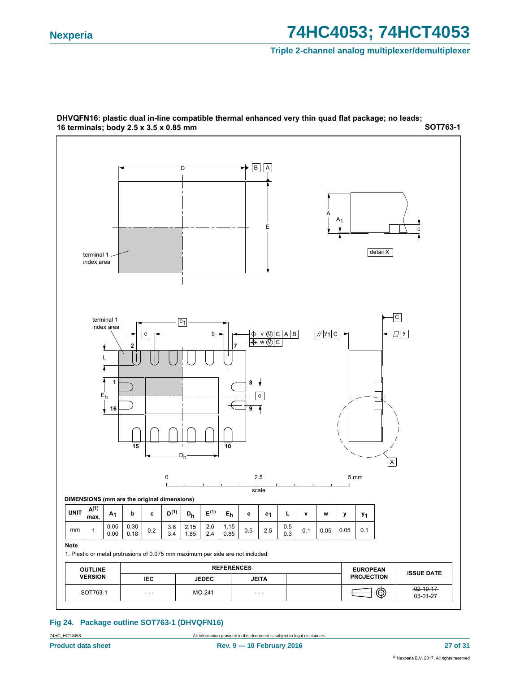#### **Triple 2-channel analog multiplexer/demultiplexer**

![](_page_26_Figure_3.jpeg)

**SOT763-1** DHVQFN16: plastic dual in-line compatible thermal enhanced very thin quad flat package; no leads; 16 terminals; body 2.5 x 3.5 x 0.85 mm

#### **Fig 24. Package outline SOT763-1 (DHVQFN16)**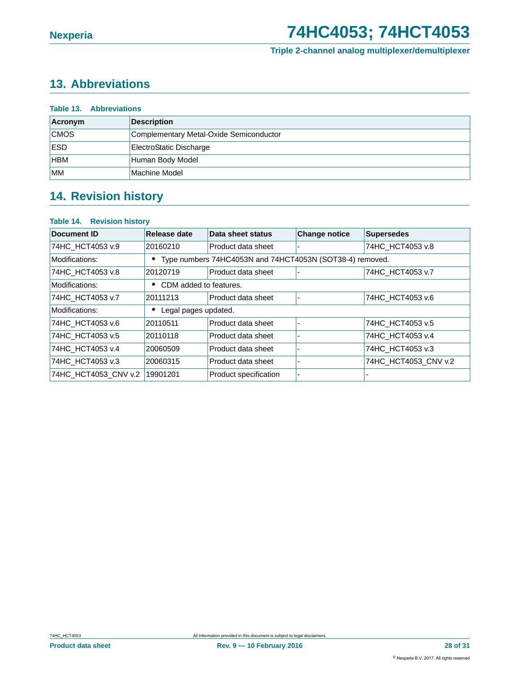#### **Triple 2-channel analog multiplexer/demultiplexer**

### <span id="page-27-0"></span>**13. Abbreviations**

| <b>Table 13. Abbreviations</b> |                                         |  |  |  |
|--------------------------------|-----------------------------------------|--|--|--|
| Acronym                        | <b>Description</b>                      |  |  |  |
| <b>CMOS</b>                    | Complementary Metal-Oxide Semiconductor |  |  |  |
| <b>ESD</b>                     | ElectroStatic Discharge                 |  |  |  |
| <b>HBM</b>                     | Human Body Model                        |  |  |  |
| <b>MM</b>                      | Machine Model                           |  |  |  |

### <span id="page-27-1"></span>**14. Revision history**

#### **Table 14. Revision history**

| Document ID          | Release date                                             | Data sheet status     | <b>Change notice</b> | <b>Supersedes</b>    |
|----------------------|----------------------------------------------------------|-----------------------|----------------------|----------------------|
| 74HC HCT4053 v.9     | 20160210                                                 | Product data sheet    |                      | 74HC HCT4053 v.8     |
| Modifications:       | Type numbers 74HC4053N and 74HCT4053N (SOT38-4) removed. |                       |                      |                      |
| 74HC_HCT4053 v.8     | 20120719                                                 | Product data sheet    | $\blacksquare$       | 74HC HCT4053 v.7     |
| Modifications:       | CDM added to features.                                   |                       |                      |                      |
| 74HC HCT4053 v.7     | 20111213                                                 | Product data sheet    | ٠                    | 74HC HCT4053 v.6     |
| Modifications:       | Legal pages updated.                                     |                       |                      |                      |
| 74HC HCT4053 v.6     | 20110511                                                 | Product data sheet    |                      | 74HC_HCT4053 v.5     |
| 74HC HCT4053 v.5     | 20110118                                                 | Product data sheet    | ۰                    | 74HC HCT4053 v.4     |
| 74HC_HCT4053 v.4     | 20060509                                                 | Product data sheet    | ۰                    | 74HC HCT4053 v.3     |
| 74HC_HCT4053 v.3     | 20060315                                                 | Product data sheet    | ٠                    | 74HC_HCT4053_CNV v.2 |
| 74HC HCT4053 CNV v.2 | 19901201                                                 | Product specification | ٠                    |                      |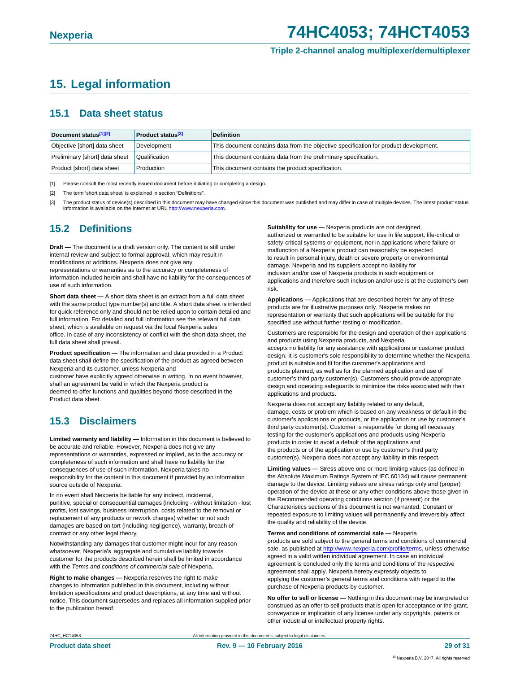**Triple 2-channel analog multiplexer/demultiplexer**

### <span id="page-28-3"></span>**15. Legal information**

#### <span id="page-28-4"></span>**15.1 Data sheet status**

| Document status[1][2]          | <b>Product status</b> <sup>[3]</sup> | <b>Definition</b>                                                                     |
|--------------------------------|--------------------------------------|---------------------------------------------------------------------------------------|
| Objective [short] data sheet   | Development                          | This document contains data from the objective specification for product development. |
| Preliminary [short] data sheet | Qualification                        | This document contains data from the preliminary specification.                       |
| Product [short] data sheet     | Production                           | This document contains the product specification.                                     |

<span id="page-28-0"></span>[1] Please consult the most recently issued document before initiating or completing a design.

- <span id="page-28-1"></span>[2] The term 'short data sheet' is explained in section "Definitions".
- <span id="page-28-2"></span>[3] The product status of device(s) described in this document may have changed since this document was published and may differ in case of multiple devices. The latest product status information is available on the Internet at URL [http://www.nexperia](http://www.nexperia.com).com.

### <span id="page-28-5"></span>**15.2 Definitions**

**Draft —** The document is a draft version only. The content is still under internal review and subject to formal approval, which may result in modifications or additions. Nexperia does not give any representations or warranties as to the accuracy or completeness of information included herein and shall have no liability for the consequences of use of such information.

**Short data sheet —** A short data sheet is an extract from a full data sheet with the same product type number(s) and title. A short data sheet is intended for quick reference only and should not be relied upon to contain detailed and full information. For detailed and full information see the relevant full data sheet, which is available on request via the local Nexperia sales office. In case of any inconsistency or conflict with the short data sheet, the full data sheet shall prevail.

**Product specification —** The information and data provided in a Product data sheet shall define the specification of the product as agreed between Nexperia and its customer, unless Nexperia and

customer have explicitly agreed otherwise in writing. In no event however, shall an agreement be valid in which the Nexperia product is deemed to offer functions and qualities beyond those described in the Product data sheet.

### <span id="page-28-6"></span>**15.3 Disclaimers**

**Limited warranty and liability —** Information in this document is believed to be accurate and reliable. However, Nexperia does not give any representations or warranties, expressed or implied, as to the accuracy or completeness of such information and shall have no liability for the consequences of use of such information. Nexperia takes no responsibility for the content in this document if provided by an information source outside of Nexperia.

In no event shall Nexperia be liable for any indirect, incidental, punitive, special or consequential damages (including - without limitation - lost profits, lost savings, business interruption, costs related to the removal or replacement of any products or rework charges) whether or not such damages are based on tort (including negligence), warranty, breach of contract or any other legal theory.

Notwithstanding any damages that customer might incur for any reason whatsoever, Nexperia's aggregate and cumulative liability towards customer for the products described herein shall be limited in accordance with the *Terms and conditions of commercial sale* of Nexperia.

**Right to make changes —** Nexperia reserves the right to make changes to information published in this document, including without limitation specifications and product descriptions, at any time and without notice. This document supersedes and replaces all information supplied prior to the publication hereof.

**Suitability for use —** Nexperia products are not designed, authorized or warranted to be suitable for use in life support, life-critical or safety-critical systems or equipment, nor in applications where failure or malfunction of a Nexperia product can reasonably be expected to result in personal injury, death or severe property or environmental damage. Nexperia and its suppliers accept no liability for inclusion and/or use of Nexperia products in such equipment or applications and therefore such inclusion and/or use is at the customer's own risk.

**Applications —** Applications that are described herein for any of these products are for illustrative purposes only. Nexperia makes no representation or warranty that such applications will be suitable for the specified use without further testing or modification.

Customers are responsible for the design and operation of their applications and products using Nexperia products, and Nexperia accepts no liability for any assistance with applications or customer product design. It is customer's sole responsibility to determine whether the Nexperia product is suitable and fit for the customer's applications and products planned, as well as for the planned application and use of customer's third party customer(s). Customers should provide appropriate design and operating safeguards to minimize the risks associated with their applications and products.

Nexperia does not accept any liability related to any default, damage, costs or problem which is based on any weakness or default in the customer's applications or products, or the application or use by customer's third party customer(s). Customer is responsible for doing all necessary testing for the customer's applications and products using Nexperia products in order to avoid a default of the applications and the products or of the application or use by customer's third party customer(s). Nexperia does not accept any liability in this respect.

**Limiting values —** Stress above one or more limiting values (as defined in the Absolute Maximum Ratings System of IEC 60134) will cause permanent damage to the device. Limiting values are stress ratings only and (proper) operation of the device at these or any other conditions above those given in the Recommended operating conditions section (if present) or the Characteristics sections of this document is not warranted. Constant or repeated exposure to limiting values will permanently and irreversibly affect the quality and reliability of the device.

#### **Terms and conditions of commercial sale —** Nexperia

products are sold subject to the general terms and conditions of commercial sale, as published at [http://www.nexperia.com/profile/te](http://www.nexperia.com/profile/terms)rms, unless otherwise agreed in a valid written individual agreement. In case an individua agreement is concluded only the terms and conditions of the respective agreement shall apply. Nexperia hereby expressly objects to applying the customer's general terms and conditions with regard to the purchase of Nexperia products by customer.

**No offer to sell or license —** Nothing in this document may be interpreted or construed as an offer to sell products that is open for acceptance or the grant, conveyance or implication of any license under any copyrights, patents or other industrial or intellectual property rights.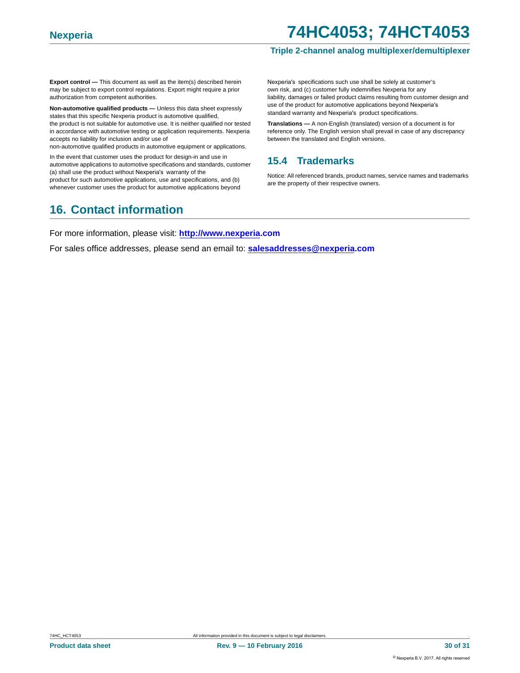#### **Triple 2-channel analog multiplexer/demultiplexer**

**Export control —** This document as well as the item(s) described herein may be subject to export control regulations. Export might require a prior authorization from competent authorities.

**Non-automotive qualified products —** Unless this data sheet expressly states that this specific Nexperia product is automotive qualified, the product is not suitable for automotive use. It is neither qualified nor tested in accordance with automotive testing or application requirements. Nexperia accepts no liability for inclusion and/or use of

non-automotive qualified products in automotive equipment or applications.

In the event that customer uses the product for design-in and use in automotive applications to automotive specifications and standards, customer (a) shall use the product without Nexperia's warranty of the product for such automotive applications, use and specifications, and (b) whenever customer uses the product for automotive applications beyond

### <span id="page-29-1"></span>**16. Contact information**

Nexperia's specifications such use shall be solely at customer's own risk, and (c) customer fully indemnifies Nexperia for any liability, damages or failed product claims resulting from customer design and use of the product for automotive applications beyond Nexperia's standard warranty and Nexperia's product specifications.

**Translations —** A non-English (translated) version of a document is for reference only. The English version shall prevail in case of any discrepancy between the translated and English versions.

### <span id="page-29-0"></span>**15.4 Trademarks**

Notice: All referenced brands, product names, service names and trademarks are the property of their respective owners.

For more information, please visit: **http://www.nexperia.com**

For sales office addresses, please send an email to: **salesaddresses@nexperia.com**